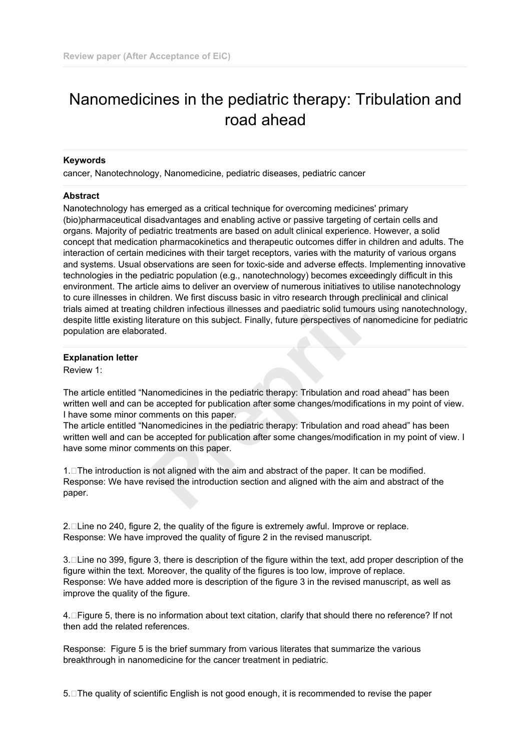# Nanomedicines in the pediatric therapy: Tribulation and road ahead

#### **Keywords**

cancer, Nanotechnology, Nanomedicine, pediatric diseases, pediatric cancer

#### **Abstract**

Nanotechnology has emerged as a critical technique for overcoming medicines' primary (bio)pharmaceutical disadvantages and enabling active or passive targeting of certain cells and organs. Majority of pediatric treatments are based on adult clinical experience. However, a solid concept that medication pharmacokinetics and therapeutic outcomes differ in children and adults. The interaction of certain medicines with their target receptors, varies with the maturity of various organs and systems. Usual observations are seen for toxic-side and adverse effects. Implementing innovative technologies in the pediatric population (e.g., nanotechnology) becomes exceedingly difficult in this environment. The article aims to deliver an overview of numerous initiatives to utilise nanotechnology to cure illnesses in children. We first discuss basic in vitro research through preclinical and clinical trials aimed at treating children infectious illnesses and paediatric solid tumours using nanotechnology, despite little existing literature on this subject. Finally, future perspectives of nanomedicine for pediatric population are elaborated. bservations are seen for toxic-side and adverse effects. Impleme<br>diatric population (e.g., nanotechnology) becomes exceedingly d<br>cle aims to deliver an overview of numerous initiatives to utilise na<br>idren. We first discuss

#### **Explanation letter**

Review 1:

The article entitled "Nanomedicines in the pediatric therapy: Tribulation and road ahead" has been written well and can be accepted for publication after some changes/modifications in my point of view. I have some minor comments on this paper.

The article entitled "Nanomedicines in the pediatric therapy: Tribulation and road ahead" has been written well and can be accepted for publication after some changes/modification in my point of view. I have some minor comments on this paper.

 $1. \Box$ The introduction is not aligned with the aim and abstract of the paper. It can be modified. Response: We have revised the introduction section and aligned with the aim and abstract of the paper.

 $2. \Box$  Line no 240, figure 2, the quality of the figure is extremely awful. Improve or replace. Response: We have improved the quality of figure 2 in the revised manuscript.

3. Line no 399, figure 3, there is description of the figure within the text, add proper description of the figure within the text. Moreover, the quality of the figures is too low, improve of replace. Response: We have added more is description of the figure 3 in the revised manuscript, as well as improve the quality of the figure.

4. □ Figure 5, there is no information about text citation, clarify that should there no reference? If not then add the related references.

Response: Figure 5 is the brief summary from various literates that summarize the various breakthrough in nanomedicine for the cancer treatment in pediatric.

5. The quality of scientific English is not good enough, it is recommended to revise the paper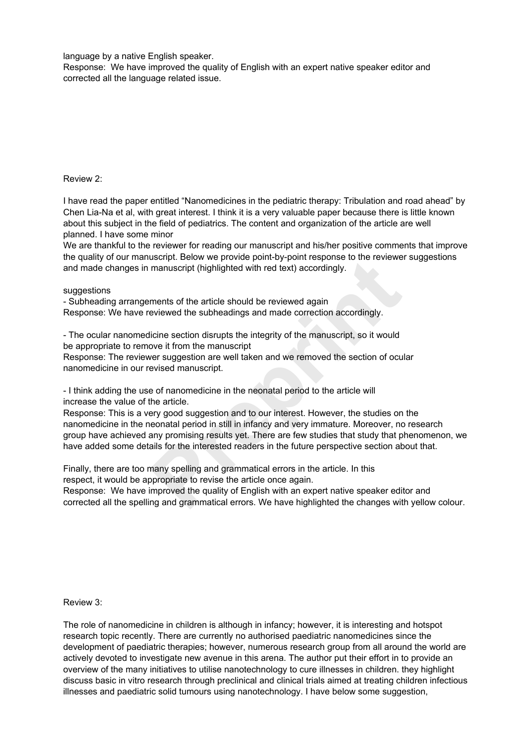language by a native English speaker.

Response: We have improved the quality of English with an expert native speaker editor and corrected all the language related issue.

## Review 2:

I have read the paper entitled "Nanomedicines in the pediatric therapy: Tribulation and road ahead" by Chen Lia-Na et al, with great interest. I think it is a very valuable paper because there is little known about this subject in the field of pediatrics. The content and organization of the article are well planned. I have some minor

We are thankful to the reviewer for reading our manuscript and his/her positive comments that improve the quality of our manuscript. Below we provide point-by-point response to the reviewer suggestions and made changes in manuscript (highlighted with red text) accordingly.

#### suggestions

- Subheading arrangements of the article should be reviewed again Response: We have reviewed the subheadings and made correction accordingly.

- The ocular nanomedicine section disrupts the integrity of the manuscript, so it would be appropriate to remove it from the manuscript

Response: The reviewer suggestion are well taken and we removed the section of ocular nanomedicine in our revised manuscript.

- I think adding the use of nanomedicine in the neonatal period to the article will increase the value of the article.

Response: This is a very good suggestion and to our interest. However, the studies on the nanomedicine in the neonatal period in still in infancy and very immature. Moreover, no research group have achieved any promising results yet. There are few studies that study that phenomenon, we have added some details for the interested readers in the future perspective section about that. uscript. Below we provide point-by-point response to the reviewer<br>manuscript (highlighted with red text) accordingly.<br>ments of the article should be reviewed again<br>eviewed the subheadings and made correction accordingly.<br>l

Finally, there are too many spelling and grammatical errors in the article. In this respect, it would be appropriate to revise the article once again.

Response: We have improved the quality of English with an expert native speaker editor and corrected all the spelling and grammatical errors. We have highlighted the changes with yellow colour.

Review 3:

The role of nanomedicine in children is although in infancy; however, it is interesting and hotspot research topic recently. There are currently no authorised paediatric nanomedicines since the development of paediatric therapies; however, numerous research group from all around the world are actively devoted to investigate new avenue in this arena. The author put their effort in to provide an overview of the many initiatives to utilise nanotechnology to cure illnesses in children. they highlight discuss basic in vitro research through preclinical and clinical trials aimed at treating children infectious illnesses and paediatric solid tumours using nanotechnology. I have below some suggestion,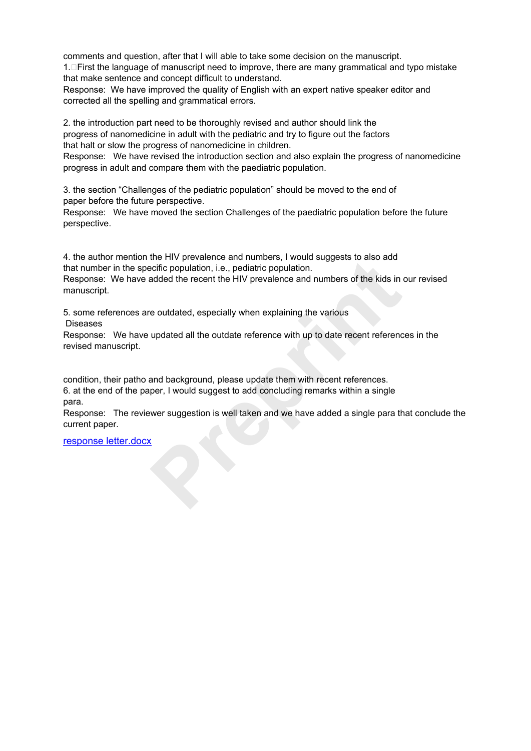comments and question, after that I will able to take some decision on the manuscript. 1. First the language of manuscript need to improve, there are many grammatical and typo mistake that make sentence and concept difficult to understand.

Response: We have improved the quality of English with an expert native speaker editor and corrected all the spelling and grammatical errors.

2. the introduction part need to be thoroughly revised and author should link the progress of nanomedicine in adult with the pediatric and try to figure out the factors that halt or slow the progress of nanomedicine in children.

Response: We have revised the introduction section and also explain the progress of nanomedicine progress in adult and compare them with the paediatric population.

3. the section "Challenges of the pediatric population" should be moved to the end of paper before the future perspective.

Response: We have moved the section Challenges of the paediatric population before the future perspective.

4. the author mention the HIV prevalence and numbers, I would suggests to also add that number in the specific population, i.e., pediatric population. Response: We have added the recent the HIV prevalence and numbers of the kids in our revised

manuscript.

5. some references are outdated, especially when explaining the various Diseases

Response: We have updated all the outdate reference with up to date recent references in the revised manuscript.

condition, their patho and background, please update them with recent references. 6. at the end of the paper, I would suggest to add concluding remarks within a single para. 4. the adultrifferior the triv prevalence and influence, it would suggests to also add<br>that number in the specific population, i.e., pediatric population.<br>Response: We have added the recent the HIV prevalence and numbers o

Response: The reviewer suggestion is well taken and we have added a single para that conclude the current paper.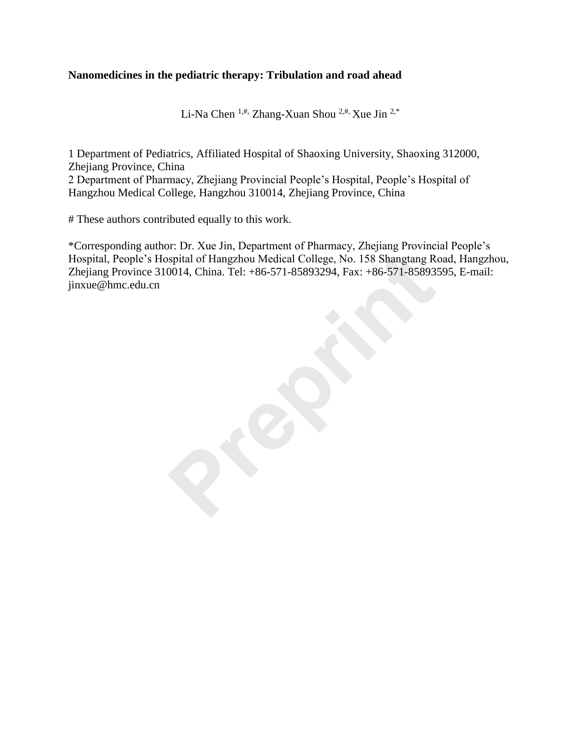# **Nanomedicines in the pediatric therapy: Tribulation and road ahead**

Li-Na Chen  $1,$ #, Zhang-Xuan Shou  $2,$ #, Xue Jin  $2,$ \*

1 Department of Pediatrics, Affiliated Hospital of Shaoxing University, Shaoxing 312000, Zhejiang Province, China 2 Department of Pharmacy, Zhejiang Provincial People's Hospital, People's Hospital of Hangzhou Medical College, Hangzhou 310014, Zhejiang Province, China

# These authors contributed equally to this work.

\*Corresponding author: Dr. Xue Jin, Department of Pharmacy, Zhejiang Provincial People's Hospital, People's Hospital of Hangzhou Medical College, No. 158 Shangtang Road, Hangzhou, Zhejiang Province 310014, China. Tel: +86-571-85893294, Fax: +86-571-85893595, E-mail: Hospital, People's Hospital of Hangzhou Medical College, No. 158 Shangtang R<br>Zhejiang Province 310014, China. Tel: +86-571-85893294, Fax: +86-571-85893<br>jinxue@hmc.edu.cn<br><sup>province</sup> dimensions.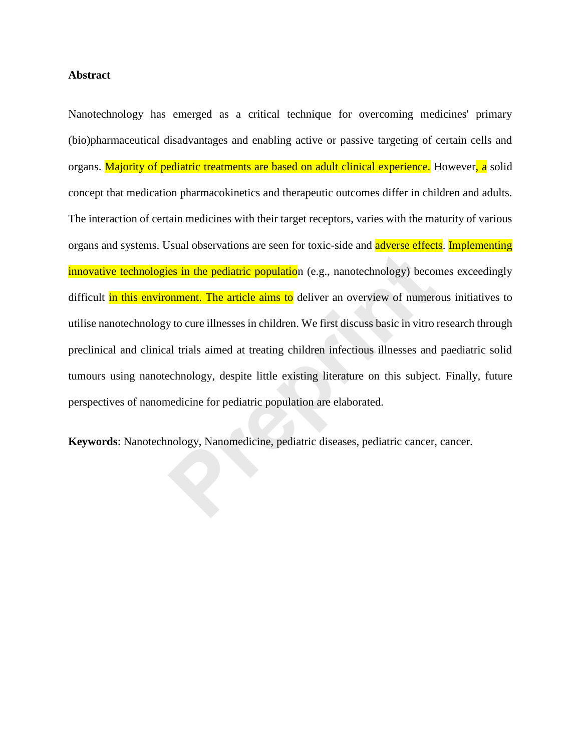# **Abstract**

Nanotechnology has emerged as a critical technique for overcoming medicines' primary (bio)pharmaceutical disadvantages and enabling active or passive targeting of certain cells and organs. Majority of pediatric treatments are based on adult clinical experience. However, a solid concept that medication pharmacokinetics and therapeutic outcomes differ in children and adults. The interaction of certain medicines with their target receptors, varies with the maturity of various organs and systems. Usual observations are seen for toxic-side and **adverse effects**. Implementing innovative technologies in the pediatric population (e.g., nanotechnology) becomes exceedingly difficult in this environment. The article aims to deliver an overview of numerous initiatives to utilise nanotechnology to cure illnesses in children. We first discuss basic in vitro research through preclinical and clinical trials aimed at treating children infectious illnesses and paediatric solid tumours using nanotechnology, despite little existing literature on this subject. Finally, future perspectives of nanomedicine for pediatric population are elaborated. **Keywords:** Nanotechnology, Nanomedicine, pediatric population (e.g., nanotechnology) becomes excedifficult in this environment. The article aims to deliver an overview of numerous initiatible nanotechnology to cure illnes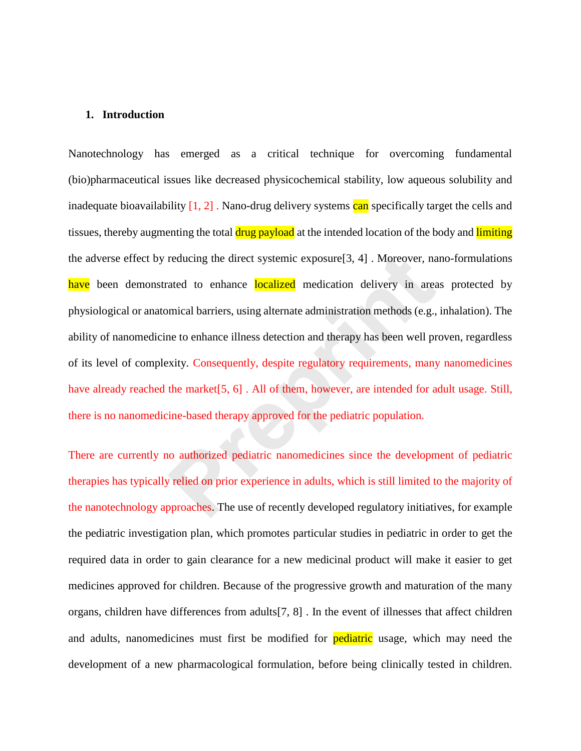## **1. Introduction**

Nanotechnology has emerged as a critical technique for overcoming fundamental (bio)pharmaceutical issues like decreased physicochemical stability, low aqueous solubility and inadequate bioavailability  $[1, 2]$ . Nano-drug delivery systems can specifically target the cells and tissues, thereby augmenting the total drug payload at the intended location of the body and limiting the adverse effect by reducing the direct systemic exposure[3, 4] . Moreover, nano-formulations have been demonstrated to enhance localized medication delivery in areas protected by physiological or anatomical barriers, using alternate administration methods (e.g., inhalation). The ability of nanomedicine to enhance illness detection and therapy has been well proven, regardless of its level of complexity. Consequently, despite regulatory requirements, many nanomedicines have already reached the market<sup>[5, 6]</sup>. All of them, however, are intended for adult usage. Still, there is no nanomedicine-based therapy approved for the pediatric population. reducing the direct systemic exposure[3, 4]. Moreover, na<br>ated to enhance **localized** medication delivery in area<br>mical barriers, using alternate administration methods (e.g.,<br>ne to enhance illness detection and therapy ha

There are currently no authorized pediatric nanomedicines since the development of pediatric therapies has typically relied on prior experience in adults, which is still limited to the majority of the nanotechnology approaches. The use of recently developed regulatory initiatives, for example the pediatric investigation plan, which promotes particular studies in pediatric in order to get the required data in order to gain clearance for a new medicinal product will make it easier to get medicines approved for children. Because of the progressive growth and maturation of the many organs, children have differences from adults[7, 8] . In the event of illnesses that affect children and adults, nanomedicines must first be modified for **pediatric** usage, which may need the development of a new pharmacological formulation, before being clinically tested in children.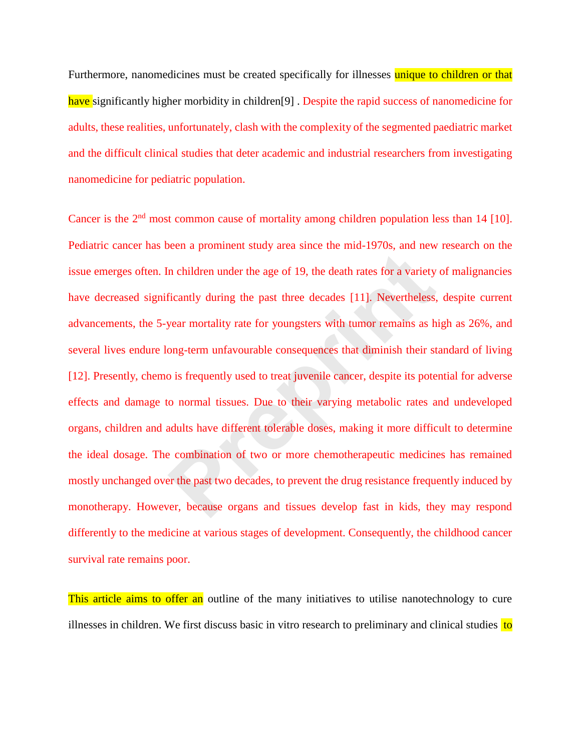Furthermore, nanomedicines must be created specifically for illnesses unique to children or that have significantly higher morbidity in children<sup>[9]</sup> . Despite the rapid success of nanomedicine for adults, these realities, unfortunately, clash with the complexity of the segmented paediatric market and the difficult clinical studies that deter academic and industrial researchers from investigating nanomedicine for pediatric population.

Cancer is the  $2<sup>nd</sup>$  most common cause of mortality among children population less than 14 [10]. Pediatric cancer has been a prominent study area since the mid-1970s, and new research on the issue emerges often. In children under the age of 19, the death rates for a variety of malignancies have decreased significantly during the past three decades [11]. Nevertheless, despite current advancements, the 5-year mortality rate for youngsters with tumor remains as high as 26%, and several lives endure long-term unfavourable consequences that diminish their standard of living [12]. Presently, chemo is frequently used to treat juvenile cancer, despite its potential for adverse effects and damage to normal tissues. Due to their varying metabolic rates and undeveloped organs, children and adults have different tolerable doses, making it more difficult to determine the ideal dosage. The combination of two or more chemotherapeutic medicines has remained mostly unchanged over the past two decades, to prevent the drug resistance frequently induced by monotherapy. However, because organs and tissues develop fast in kids, they may respond differently to the medicine at various stages of development. Consequently, the childhood cancer survival rate remains poor. In children under the age of 19, the death rates for a variety<br> **Prepare in the mass of the system**<br> **Prepriet is a** three decades [11]. Nevertheless,<br>
year mortality rate for youngsters with tumor remains as h<br>
ong-term u

This article aims to offer an outline of the many initiatives to utilise nanotechnology to cure illnesses in children. We first discuss basic in vitro research to preliminary and clinical studies to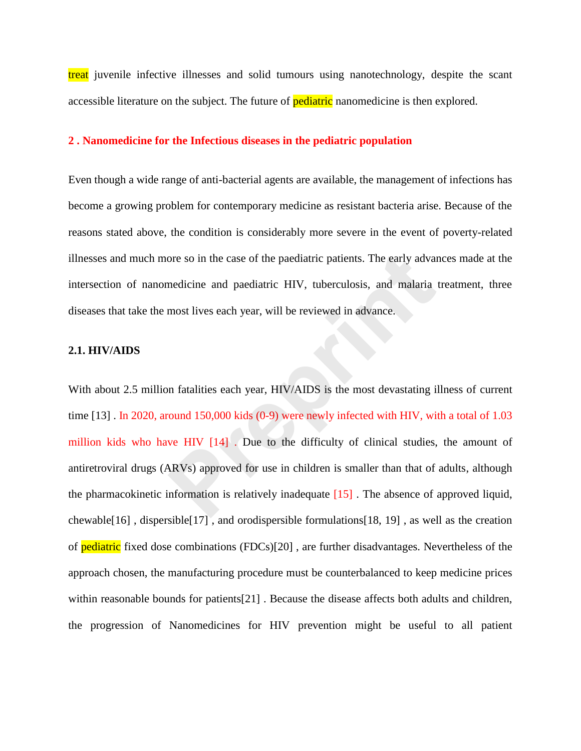treat juvenile infective illnesses and solid tumours using nanotechnology, despite the scant accessible literature on the subject. The future of **pediatric** nanomedicine is then explored.

## **2 . Nanomedicine for the Infectious diseases in the pediatric population**

Even though a wide range of anti-bacterial agents are available, the management of infections has become a growing problem for contemporary medicine as resistant bacteria arise. Because of the reasons stated above, the condition is considerably more severe in the event of poverty-related illnesses and much more so in the case of the paediatric patients. The early advances made at the intersection of nanomedicine and paediatric HIV, tuberculosis, and malaria treatment, three diseases that take the most lives each year, will be reviewed in advance.

## **2.1. HIV/AIDS**

With about 2.5 million fatalities each year, HIV/AIDS is the most devastating illness of current time [13] . In 2020, around 150,000 kids (0-9) were newly infected with HIV, with a total of 1.03 million kids who have HIV [14]. Due to the difficulty of clinical studies, the amount of antiretroviral drugs (ARVs) approved for use in children is smaller than that of adults, although the pharmacokinetic information is relatively inadequate [15] . The absence of approved liquid, chewable<sup>[16]</sup>, dispersible<sup>[17]</sup>, and orodispersible formulations<sup>[18]</sup>, 19], as well as the creation of **pediatric** fixed dose combinations (FDCs)[20], are further disadvantages. Nevertheless of the approach chosen, the manufacturing procedure must be counterbalanced to keep medicine prices within reasonable bounds for patients[21] . Because the disease affects both adults and children, the progression of Nanomedicines for HIV prevention might be useful to all patient ore so in the case of the paediatric patients. The early advance<br>
medicine and paediatric HIV, tuberculosis, and malaria<br>
most lives each year, will be reviewed in advance.<br> **Property** in advance.<br> **Property 1150,000 kids**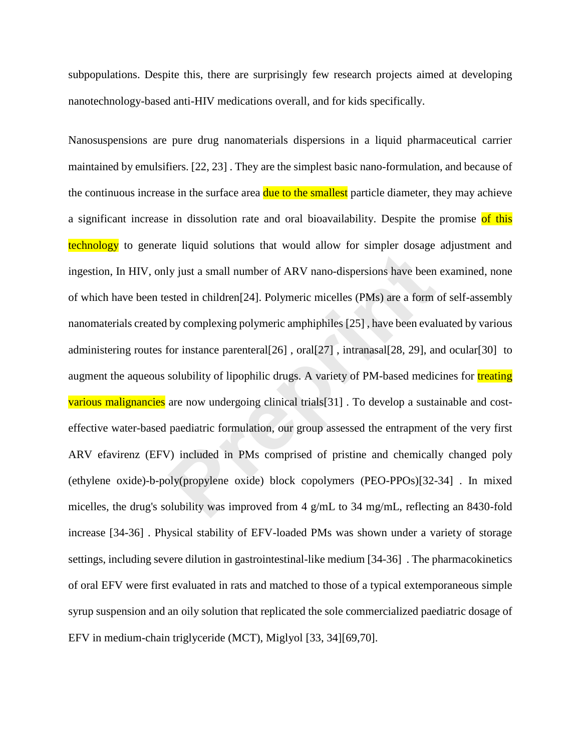subpopulations. Despite this, there are surprisingly few research projects aimed at developing nanotechnology-based anti-HIV medications overall, and for kids specifically.

Nanosuspensions are pure drug nanomaterials dispersions in a liquid pharmaceutical carrier maintained by emulsifiers. [22, 23] . They are the simplest basic nano-formulation, and because of the continuous increase in the surface area due to the smallest particle diameter, they may achieve a significant increase in dissolution rate and oral bioavailability. Despite the promise of this technology to generate liquid solutions that would allow for simpler dosage adjustment and ingestion, In HIV, only just a small number of ARV nano-dispersions have been examined, none of which have been tested in children[24]. Polymeric micelles (PMs) are a form of self-assembly nanomaterials created by complexing polymeric amphiphiles [25] , have been evaluated by various administering routes for instance parenteral [26], oral [27], intranasal [28, 29], and ocular [30] to augment the aqueous solubility of lipophilic drugs. A variety of PM-based medicines for treating various malignancies are now undergoing clinical trials [31]. To develop a sustainable and costeffective water-based paediatric formulation, our group assessed the entrapment of the very first ARV efavirenz (EFV) included in PMs comprised of pristine and chemically changed poly (ethylene oxide)-b-poly(propylene oxide) block copolymers (PEO-PPOs)[32-34] . In mixed micelles, the drug's solubility was improved from 4 g/mL to 34 mg/mL, reflecting an 8430-fold increase [34-36] . Physical stability of EFV-loaded PMs was shown under a variety of storage settings, including severe dilution in gastrointestinal-like medium [34-36] . The pharmacokinetics of oral EFV were first evaluated in rats and matched to those of a typical extemporaneous simple syrup suspension and an oily solution that replicated the sole commercialized paediatric dosage of EFV in medium-chain triglyceride (MCT), Miglyol [33, 34][69,70]. <sup>1</sup><br> **Propertionary** is a small number of ARV nano-dispersions have been<br>
sted in children[24]. Polymeric micelles (PMs) are a form<br>
by complexing polymeric amphiphiles [25], have been eval<br>
for instance parenteral[26], or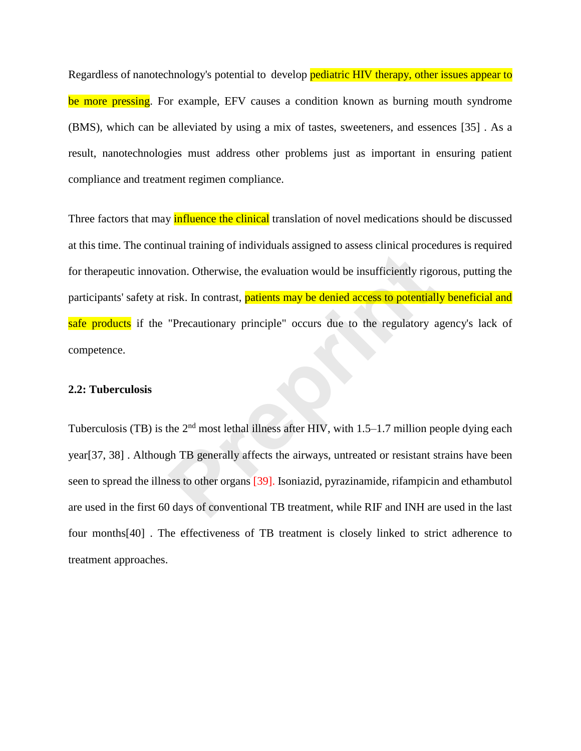Regardless of nanotechnology's potential to develop pediatric HIV therapy, other issues appear to be more pressing. For example, EFV causes a condition known as burning mouth syndrome (BMS), which can be alleviated by using a mix of tastes, sweeteners, and essences [35] . As a result, nanotechnologies must address other problems just as important in ensuring patient compliance and treatment regimen compliance.

Three factors that may **influence the clinical** translation of novel medications should be discussed at this time. The continual training of individuals assigned to assess clinical procedures is required for therapeutic innovation. Otherwise, the evaluation would be insufficiently rigorous, putting the participants' safety at risk. In contrast, patients may be denied access to potentially beneficial and safe products if the "Precautionary principle" occurs due to the regulatory agency's lack of competence. Fraction. Otherwise, the evaluation would be insufficiently rigorisk. In contrast, **patients may be denied access to potential!**<br>"Precautionary principle" occurs due to the regulatory at the regulatory of the 2<sup>nd</sup> most le

#### **2.2: Tuberculosis**

Tuberculosis (TB) is the  $2<sup>nd</sup>$  most lethal illness after HIV, with 1.5–1.7 million people dying each year[37, 38] . Although TB generally affects the airways, untreated or resistant strains have been seen to spread the illness to other organs [39]. Isoniazid, pyrazinamide, rifampicin and ethambutol are used in the first 60 days of conventional TB treatment, while RIF and INH are used in the last four months[40] . The effectiveness of TB treatment is closely linked to strict adherence to treatment approaches.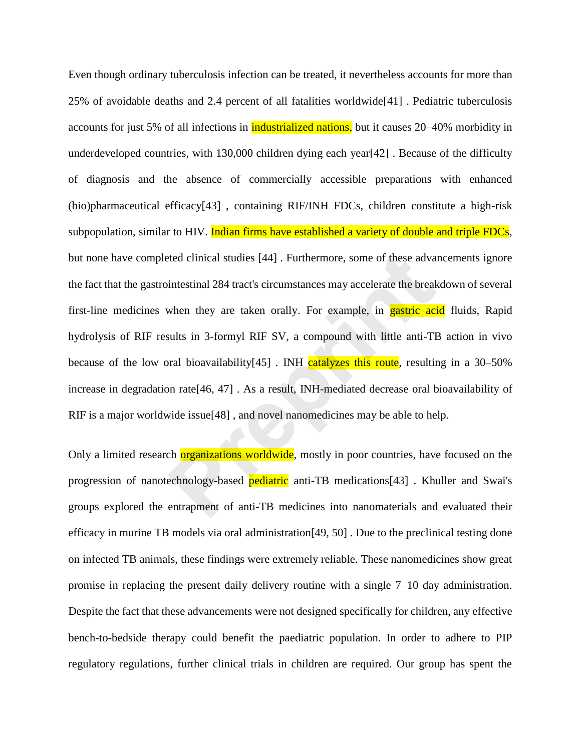Even though ordinary tuberculosis infection can be treated, it nevertheless accounts for more than 25% of avoidable deaths and 2.4 percent of all fatalities worldwide[41] . Pediatric tuberculosis accounts for just 5% of all infections in industrialized nations, but it causes 20–40% morbidity in underdeveloped countries, with 130,000 children dying each year[42] . Because of the difficulty of diagnosis and the absence of commercially accessible preparations with enhanced (bio)pharmaceutical efficacy[43] , containing RIF/INH FDCs, children constitute a high-risk subpopulation, similar to HIV. Indian firms have established a variety of double and triple FDCs, but none have completed clinical studies [44] . Furthermore, some of these advancements ignore the fact that the gastrointestinal 284 tract's circumstances may accelerate the breakdown of several first-line medicines when they are taken orally. For example, in **gastric acid** fluids, Rapid hydrolysis of RIF results in 3-formyl RIF SV, a compound with little anti-TB action in vivo because of the low oral bioavailability [45]. INH catalyzes this route, resulting in a 30–50% increase in degradation rate[46, 47] . As a result, INH-mediated decrease oral bioavailability of RIF is a major worldwide issue[48], and novel nanomedicines may be able to help. eted clinical studies [44]. Furthermore, some of these advant<br>tinestinal 284 tract's circumstances may accelerate the break<br>when they are taken orally. For example, in **gastric aci**<br>sults in 3-formyl RIF SV, a compound wit

Only a limited research **organizations worldwide**, mostly in poor countries, have focused on the progression of nanotechnology-based pediatric anti-TB medications[43] . Khuller and Swai's groups explored the entrapment of anti-TB medicines into nanomaterials and evaluated their efficacy in murine TB models via oral administration[49, 50] . Due to the preclinical testing done on infected TB animals, these findings were extremely reliable. These nanomedicines show great promise in replacing the present daily delivery routine with a single 7–10 day administration. Despite the fact that these advancements were not designed specifically for children, any effective bench-to-bedside therapy could benefit the paediatric population. In order to adhere to PIP regulatory regulations, further clinical trials in children are required. Our group has spent the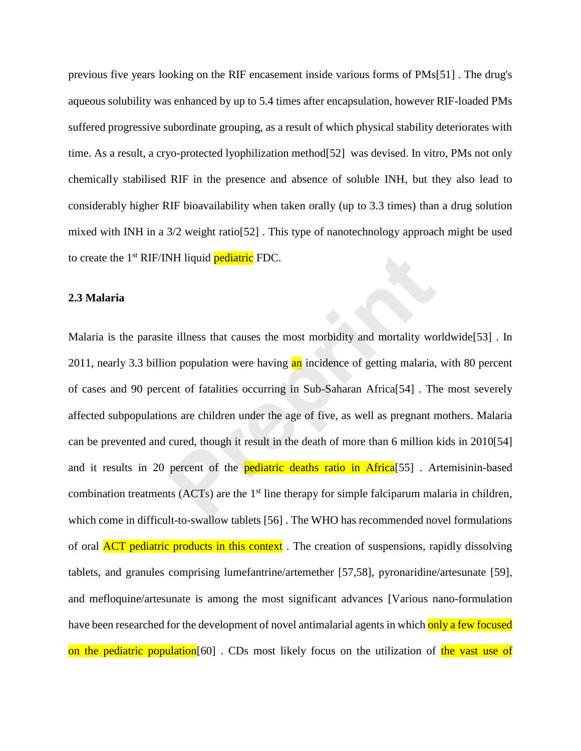previous five years looking on the RIF encasement inside various forms of PMs[51] . The drug's aqueous solubility was enhanced by up to 5.4 times after encapsulation, however RIF-loaded PMs suffered progressive subordinate grouping, as a result of which physical stability deteriorates with time. As a result, a cryo-protected lyophilization method[52] was devised. In vitro, PMs not only chemically stabilised RIF in the presence and absence of soluble INH, but they also lead to considerably higher RIF bioavailability when taken orally (up to 3.3 times) than a drug solution mixed with INH in a 3/2 weight ratio[52] . This type of nanotechnology approach might be used to create the 1<sup>st</sup> RIF/INH liquid **pediatric** FDC.

# **2.3 Malaria**

Malaria is the parasite illness that causes the most morbidity and mortality worldwide[53] . In 2011, nearly 3.3 billion population were having an incidence of getting malaria, with 80 percent of cases and 90 percent of fatalities occurring in Sub-Saharan Africa[54] . The most severely affected subpopulations are children under the age of five, as well as pregnant mothers. Malaria can be prevented and cured, though it result in the death of more than 6 million kids in 2010[54] and it results in 20 percent of the **pediatric deaths ratio in Africa**<sup>[55]</sup>. Artemisinin-based combination treatments  $(ACTs)$  are the  $1<sup>st</sup>$  line therapy for simple falciparum malaria in children, which come in difficult-to-swallow tablets [56] . The WHO has recommended novel formulations of oral **ACT** pediatric products in this context. The creation of suspensions, rapidly dissolving tablets, and granules comprising lumefantrine/artemether [57,58], pyronaridine/artesunate [59], and mefloquine/artesunate is among the most significant advances [Various nano-formulation have been researched for the development of novel antimalarial agents in which only a few focused on the pediatric population [60]. CDs most likely focus on the utilization of the vast use of NH liquid **pediatric** FDC.<br>
e illness that causes the most morbidity and mortality wo<br>
on population were having **an** incidence of getting malaria,<br>
ent of fatalities occurring in Sub-Saharan Africa[54]. Th<br>
ns are childre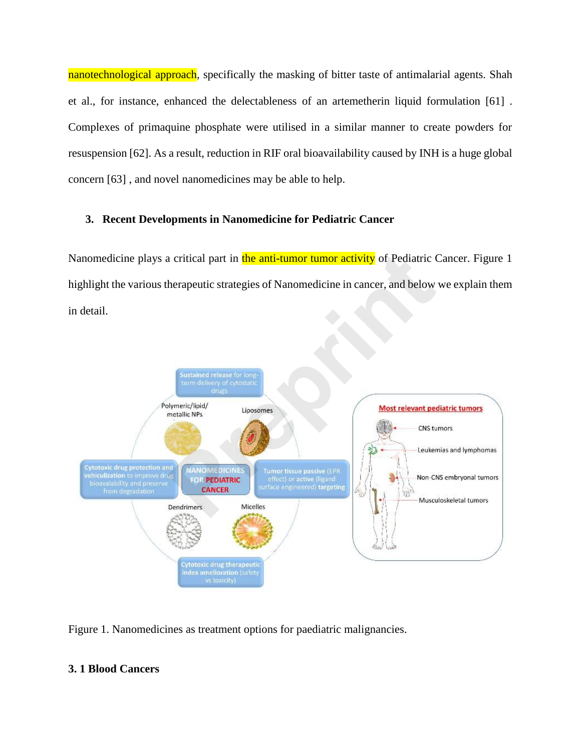nanotechnological approach, specifically the masking of bitter taste of antimalarial agents. Shah et al., for instance, enhanced the delectableness of an artemetherin liquid formulation [61] . Complexes of primaquine phosphate were utilised in a similar manner to create powders for resuspension [62]. As a result, reduction in RIF oral bioavailability caused by INH is a huge global concern [63] , and novel nanomedicines may be able to help.

# **3. Recent Developments in Nanomedicine for Pediatric Cancer**

Nanomedicine plays a critical part in the anti-tumor tumor activity of Pediatric Cancer. Figure 1 highlight the various therapeutic strategies of Nanomedicine in cancer, and below we explain them in detail.



Figure 1. Nanomedicines as treatment options for paediatric malignancies.

# **3. 1 Blood Cancers**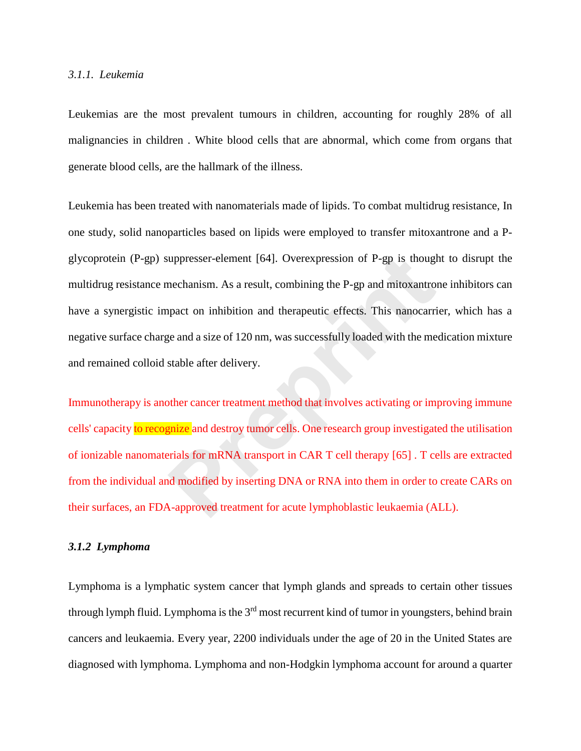## *3.1.1. Leukemia*

Leukemias are the most prevalent tumours in children, accounting for roughly 28% of all malignancies in children . White blood cells that are abnormal, which come from organs that generate blood cells, are the hallmark of the illness.

Leukemia has been treated with nanomaterials made of lipids. To combat multidrug resistance, In one study, solid nanoparticles based on lipids were employed to transfer mitoxantrone and a Pglycoprotein (P-gp) suppresser-element [64]. Overexpression of P-gp is thought to disrupt the multidrug resistance mechanism. As a result, combining the P-gp and mitoxantrone inhibitors can have a synergistic impact on inhibition and therapeutic effects. This nanocarrier, which has a negative surface charge and a size of 120 nm, was successfully loaded with the medication mixture and remained colloid stable after delivery. uppresser-element [64]. Overexpression of P-gp is though<br>mechanism. As a result, combining the P-gp and mitoxantro<br>upact on inhibition and therapeutic effects. This nanocarri<br>ge and a size of 120 nm, was successfully loade

Immunotherapy is another cancer treatment method that involves activating or improving immune cells' capacity to recognize and destroy tumor cells. One research group investigated the utilisation of ionizable nanomaterials for mRNA transport in CAR T cell therapy [65] . T cells are extracted from the individual and modified by inserting DNA or RNA into them in order to create CARs on their surfaces, an FDA-approved treatment for acute lymphoblastic leukaemia (ALL).

## *3.1.2 Lymphoma*

Lymphoma is a lymphatic system cancer that lymph glands and spreads to certain other tissues through lymph fluid. Lymphoma is the  $3<sup>rd</sup>$  most recurrent kind of tumor in youngsters, behind brain cancers and leukaemia. Every year, 2200 individuals under the age of 20 in the United States are diagnosed with lymphoma. Lymphoma and non-Hodgkin lymphoma account for around a quarter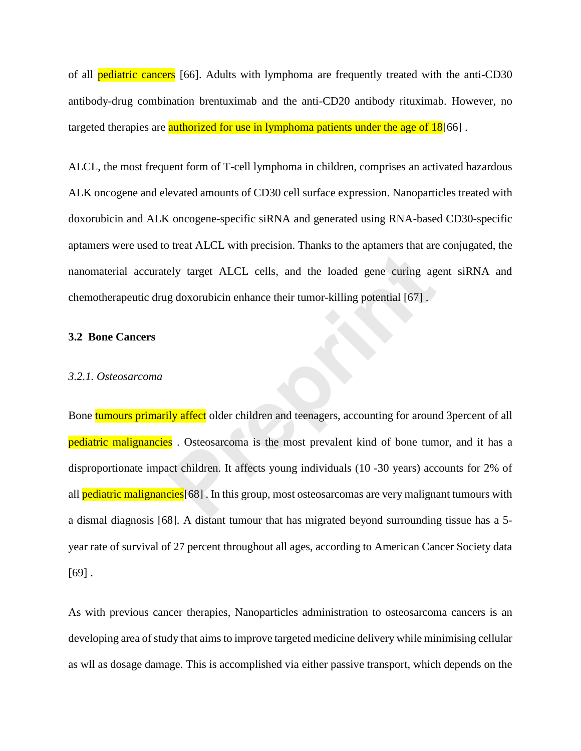of all **pediatric cancers** [66]. Adults with lymphoma are frequently treated with the anti-CD30 antibody-drug combination brentuximab and the anti-CD20 antibody rituximab. However, no targeted therapies are **authorized for use in lymphoma patients under the age of 18**[66].

ALCL, the most frequent form of T-cell lymphoma in children, comprises an activated hazardous ALK oncogene and elevated amounts of CD30 cell surface expression. Nanoparticles treated with doxorubicin and ALK oncogene-specific siRNA and generated using RNA-based CD30-specific aptamers were used to treat ALCL with precision. Thanks to the aptamers that are conjugated, the nanomaterial accurately target ALCL cells, and the loaded gene curing agent siRNA and chemotherapeutic drug doxorubicin enhance their tumor-killing potential [67] .

# **3.2 Bone Cancers**

#### *3.2.1. Osteosarcoma*

Bone tumours primarily affect older children and teenagers, accounting for around 3 percent of all pediatric malignancies . Osteosarcoma is the most prevalent kind of bone tumor, and it has a disproportionate impact children. It affects young individuals (10 -30 years) accounts for 2% of all **pediatric malignancies**[68]. In this group, most osteosarcomas are very malignant tumours with a dismal diagnosis [68]. A distant tumour that has migrated beyond surrounding tissue has a 5 year rate of survival of 27 percent throughout all ages, according to American Cancer Society data  $[69]$ . ely target ALCL cells, and the loaded gene curing ag<br>
g doxorubicin enhance their tumor-killing potential [67].<br> **Preprinting** potential [67].<br> **Preprinting** potential [67].<br> **Preprient** is the most prevalent kind of bone

As with previous cancer therapies, Nanoparticles administration to osteosarcoma cancers is an developing area of study that aims to improve targeted medicine delivery while minimising cellular as wll as dosage damage. This is accomplished via either passive transport, which depends on the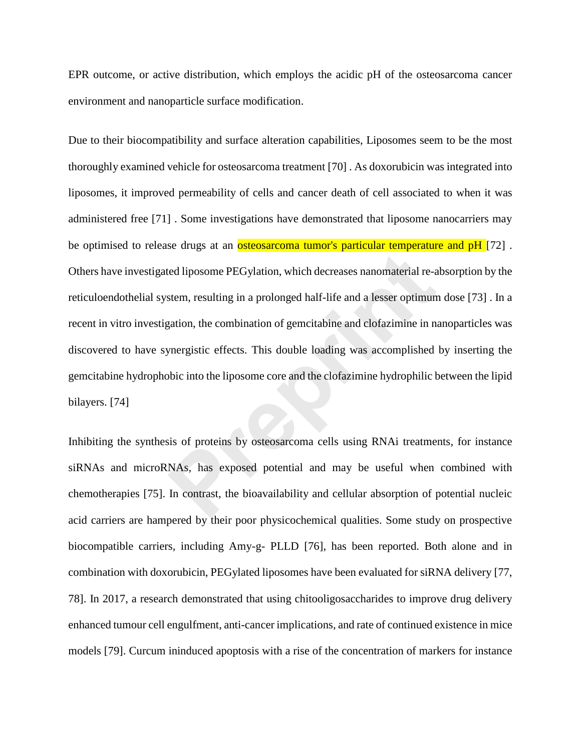EPR outcome, or active distribution, which employs the acidic pH of the osteosarcoma cancer environment and nanoparticle surface modification.

Due to their biocompatibility and surface alteration capabilities, Liposomes seem to be the most thoroughly examined vehicle for osteosarcoma treatment [70] . As doxorubicin was integrated into liposomes, it improved permeability of cells and cancer death of cell associated to when it was administered free [71] . Some investigations have demonstrated that liposome nanocarriers may be optimised to release drugs at an **osteosarcoma tumor's particular temperature and pH** [72]. Others have investigated liposome PEGylation, which decreases nanomaterial re-absorption by the reticuloendothelial system, resulting in a prolonged half-life and a lesser optimum dose [73] . In a recent in vitro investigation, the combination of gemcitabine and clofazimine in nanoparticles was discovered to have synergistic effects. This double loading was accomplished by inserting the gemcitabine hydrophobic into the liposome core and the clofazimine hydrophilic between the lipid bilayers. [74] Free diposome PEGylation, which decreases nanomaterial re-astem, resulting in a prolonged half-life and a lesser optimum<br>gation, the combination of gemcitabine and clofazimine in n<br>ynergistic effects. This double loading w

Inhibiting the synthesis of proteins by osteosarcoma cells using RNAi treatments, for instance siRNAs and microRNAs, has exposed potential and may be useful when combined with chemotherapies [75]. In contrast, the bioavailability and cellular absorption of potential nucleic acid carriers are hampered by their poor physicochemical qualities. Some study on prospective biocompatible carriers, including Amy-g- PLLD [76], has been reported. Both alone and in combination with doxorubicin, PEGylated liposomes have been evaluated for siRNA delivery [77, 78]. In 2017, a research demonstrated that using chitooligosaccharides to improve drug delivery enhanced tumour cell engulfment, anti-cancer implications, and rate of continued existence in mice models [79]. Curcum ininduced apoptosis with a rise of the concentration of markers for instance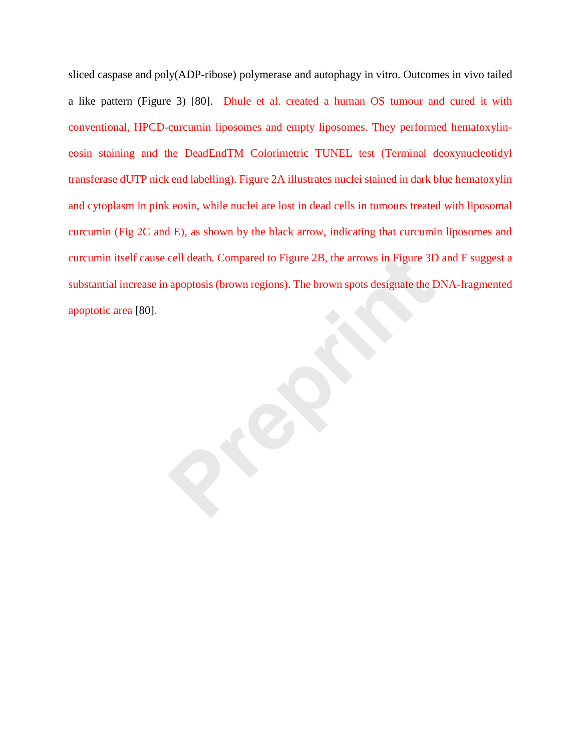sliced caspase and poly(ADP-ribose) polymerase and autophagy in vitro. Outcomes in vivo tailed a like pattern (Figure 3) [80]. Dhule et al. created a human OS tumour and cured it with conventional, HPCD-curcumin liposomes and empty liposomes. They performed hematoxylineosin staining and the DeadEndTM Colorimetric TUNEL test (Terminal deoxynucleotidyl transferase dUTP nick end labelling). Figure 2A illustrates nuclei stained in dark blue hematoxylin and cytoplasm in pink eosin, while nuclei are lost in dead cells in tumours treated with liposomal curcumin (Fig 2C and E), as shown by the black arrow, indicating that curcumin liposomes and curcumin itself cause cell death. Compared to Figure 2B, the arrows in Figure 3D and F suggest a substantial increase in apoptosis (brown regions). The brown spots designate the DNA-fragmented apoptotic area [80]. cell death. Compared to Figure 2B, the arrows in Figure 3D<br>apoptosis (brown regions). The brown spots designate the D<br>preprior of the D<br>material state of D<br>prepared to P and S apoptosis (brown regions). The brown spots des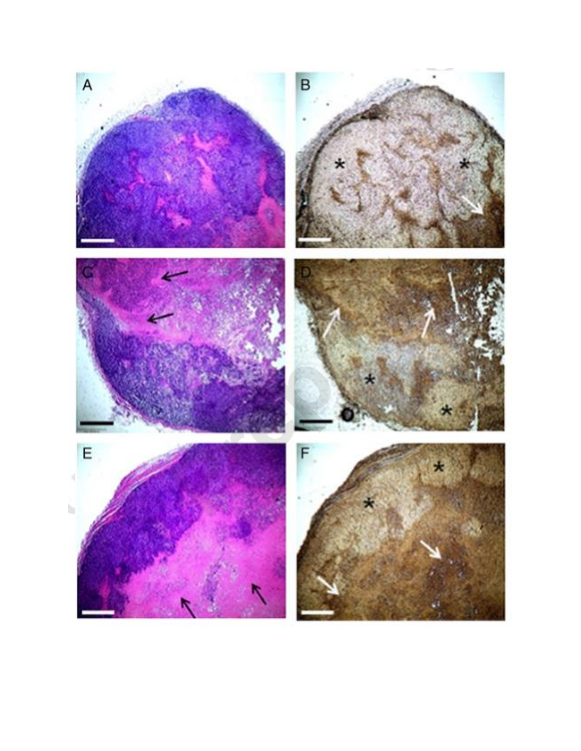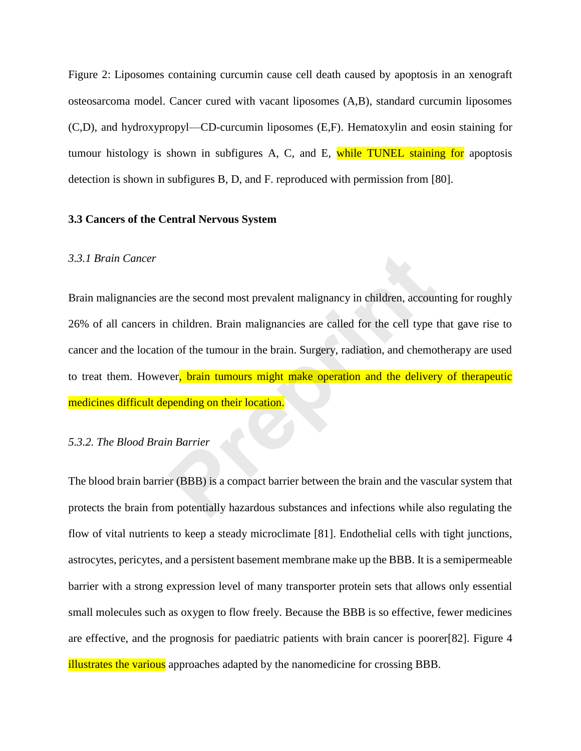Figure 2: Liposomes containing curcumin cause cell death caused by apoptosis in an xenograft osteosarcoma model. Cancer cured with vacant liposomes (A,B), standard curcumin liposomes (C,D), and hydroxypropyl—CD-curcumin liposomes (E,F). Hematoxylin and eosin staining for tumour histology is shown in subfigures A, C, and E, while TUNEL staining for apoptosis detection is shown in subfigures B, D, and F. reproduced with permission from [80].

# **3.3 Cancers of the Central Nervous System**

#### *3.3.1 Brain Cancer*

Brain malignancies are the second most prevalent malignancy in children, accounting for roughly 26% of all cancers in children. Brain malignancies are called for the cell type that gave rise to cancer and the location of the tumour in the brain. Surgery, radiation, and chemotherapy are used to treat them. However, brain tumours might make operation and the delivery of therapeutic medicines difficult depending on their location. re the second most prevalent malignancy in children, accour<br>
children. Brain malignancies are called for the cell type<br>
on of the tumour in the brain. Surgery, radiation, and chemo<br>
ver<mark>, brain tumours might make operation</mark>

# *5.3.2. The Blood Brain Barrier*

The blood brain barrier (BBB) is a compact barrier between the brain and the vascular system that protects the brain from potentially hazardous substances and infections while also regulating the flow of vital nutrients to keep a steady microclimate [81]. Endothelial cells with tight junctions, astrocytes, pericytes, and a persistent basement membrane make up the BBB. It is a semipermeable barrier with a strong expression level of many transporter protein sets that allows only essential small molecules such as oxygen to flow freely. Because the BBB is so effective, fewer medicines are effective, and the prognosis for paediatric patients with brain cancer is poorer[82]. Figure 4 illustrates the various approaches adapted by the nanomedicine for crossing BBB.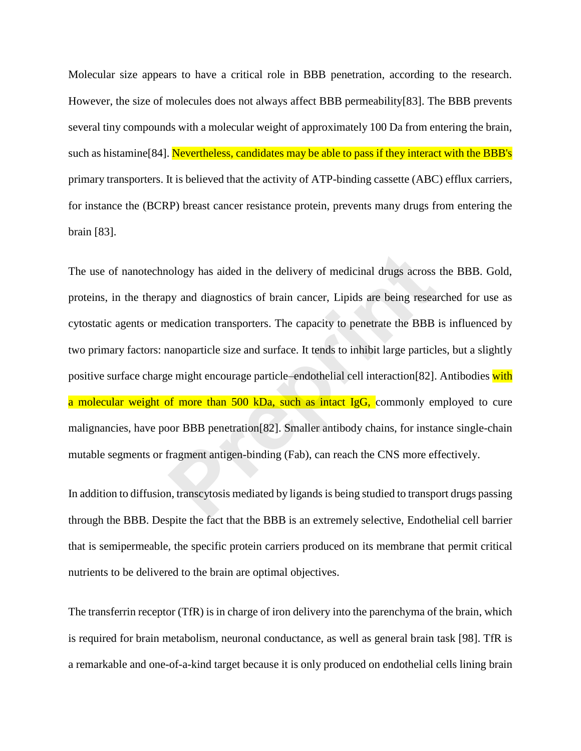Molecular size appears to have a critical role in BBB penetration, according to the research. However, the size of molecules does not always affect BBB permeability[83]. The BBB prevents several tiny compounds with a molecular weight of approximately 100 Da from entering the brain, such as histamine<sup>[84]</sup>. Nevertheless, candidates may be able to pass if they interact with the BBB's primary transporters. It is believed that the activity of ATP-binding cassette (ABC) efflux carriers, for instance the (BCRP) breast cancer resistance protein, prevents many drugs from entering the brain [83].

The use of nanotechnology has aided in the delivery of medicinal drugs across the BBB. Gold, proteins, in the therapy and diagnostics of brain cancer, Lipids are being researched for use as cytostatic agents or medication transporters. The capacity to penetrate the BBB is influenced by two primary factors: nanoparticle size and surface. It tends to inhibit large particles, but a slightly positive surface charge might encourage particle–endothelial cell interaction [82]. Antibodies with a molecular weight of more than 500 kDa, such as intact IgG, commonly employed to cure malignancies, have poor BBB penetration[82]. Smaller antibody chains, for instance single-chain mutable segments or fragment antigen-binding (Fab), can reach the CNS more effectively. nology has aided in the delivery of medicinal drugs across<br>py and diagnostics of brain cancer, Lipids are being researchedication transporters. The capacity to penetrate the BBB<br>nanoparticle size and surface. It tends to i

In addition to diffusion, transcytosis mediated by ligands is being studied to transport drugs passing through the BBB. Despite the fact that the BBB is an extremely selective, Endothelial cell barrier that is semipermeable, the specific protein carriers produced on its membrane that permit critical nutrients to be delivered to the brain are optimal objectives.

The transferrin receptor (TfR) is in charge of iron delivery into the parenchyma of the brain, which is required for brain metabolism, neuronal conductance, as well as general brain task [98]. TfR is a remarkable and one-of-a-kind target because it is only produced on endothelial cells lining brain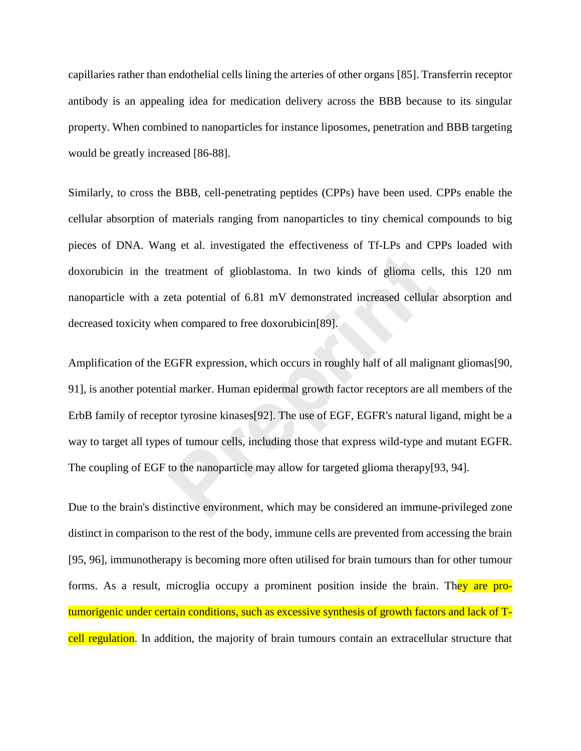capillaries rather than endothelial cells lining the arteries of other organs [85]. Transferrin receptor antibody is an appealing idea for medication delivery across the BBB because to its singular property. When combined to nanoparticles for instance liposomes, penetration and BBB targeting would be greatly increased [86-88].

Similarly, to cross the BBB, cell-penetrating peptides (CPPs) have been used. CPPs enable the cellular absorption of materials ranging from nanoparticles to tiny chemical compounds to big pieces of DNA. Wang et al. investigated the effectiveness of Tf-LPs and CPPs loaded with doxorubicin in the treatment of glioblastoma. In two kinds of glioma cells, this 120 nm nanoparticle with a zeta potential of 6.81 mV demonstrated increased cellular absorption and decreased toxicity when compared to free doxorubicin[89].

Amplification of the EGFR expression, which occurs in roughly half of all malignant gliomas[90, 91], is another potential marker. Human epidermal growth factor receptors are all members of the ErbB family of receptor tyrosine kinases[92]. The use of EGF, EGFR's natural ligand, might be a way to target all types of tumour cells, including those that express wild-type and mutant EGFR. The coupling of EGF to the nanoparticle may allow for targeted glioma therapy[93, 94]. Freatment of glioblastoma. In two kinds of glioma cell<br>teta potential of 6.81 mV demonstrated increased cellular<br>en compared to free doxorubicin[89].<br>EGFR expression, which occurs in roughly half of all malign<br>al marker. H

Due to the brain's distinctive environment, which may be considered an immune-privileged zone distinct in comparison to the rest of the body, immune cells are prevented from accessing the brain [95, 96], immunotherapy is becoming more often utilised for brain tumours than for other tumour forms. As a result, microglia occupy a prominent position inside the brain. They are protumorigenic under certain conditions, such as excessive synthesis of growth factors and lack of Tcell regulation. In addition, the majority of brain tumours contain an extracellular structure that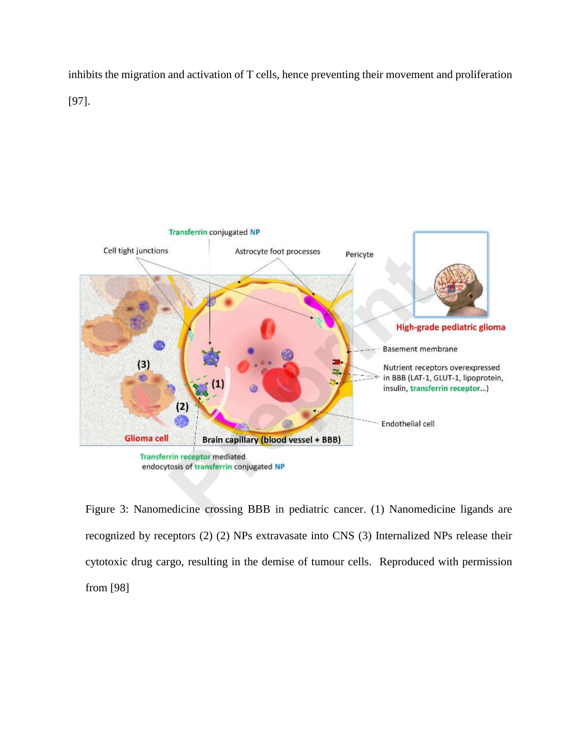inhibits the migration and activation of T cells, hence preventing their movement and proliferation [97].



Figure 3: Nanomedicine crossing BBB in pediatric cancer. (1) Nanomedicine ligands are recognized by receptors (2) (2) NPs extravasate into CNS (3) Internalized NPs release their cytotoxic drug cargo, resulting in the demise of tumour cells. Reproduced with permission from [98]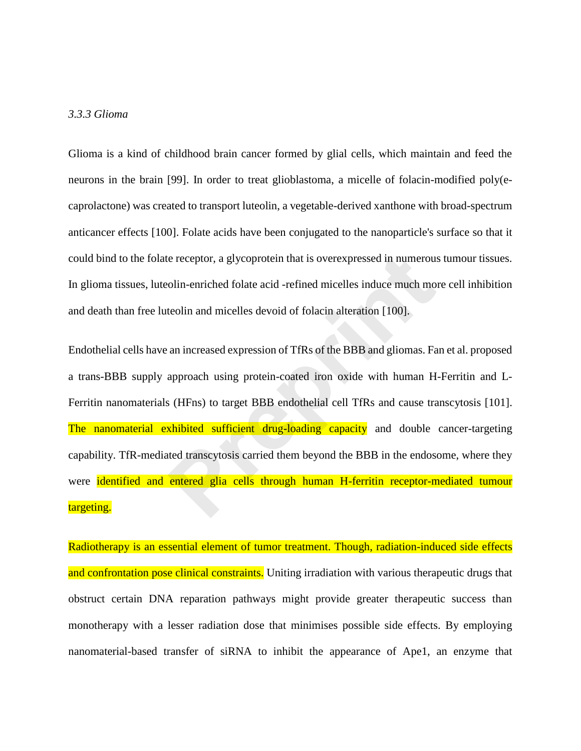# *3.3.3 Glioma*

Glioma is a kind of childhood brain cancer formed by glial cells, which maintain and feed the neurons in the brain [99]. In order to treat glioblastoma, a micelle of folacin-modified poly(ecaprolactone) was created to transport luteolin, a vegetable-derived xanthone with broad-spectrum anticancer effects [100]. Folate acids have been conjugated to the nanoparticle's surface so that it could bind to the folate receptor, a glycoprotein that is overexpressed in numerous tumour tissues. In glioma tissues, luteolin-enriched folate acid -refined micelles induce much more cell inhibition and death than free luteolin and micelles devoid of folacin alteration [100].

Endothelial cells have an increased expression of TfRs of the BBB and gliomas. Fan et al. proposed a trans-BBB supply approach using protein-coated iron oxide with human H-Ferritin and L-Ferritin nanomaterials (HFns) to target BBB endothelial cell TfRs and cause transcytosis [101]. The nanomaterial exhibited sufficient drug-loading capacity and double cancer-targeting capability. TfR-mediated transcytosis carried them beyond the BBB in the endosome, where they were identified and entered glia cells through human H-ferritin receptor-mediated tumour targeting. referention, a glycoprotein that is overexpressed in numerous<br>
colin-enriched folate acid -refined micelles induce much mo<br>
teolin and micelles devoid of folacin alteration [100].<br>
an increased expression of TfRs of the BB

Radiotherapy is an essential element of tumor treatment. Though, radiation-induced side effects and confrontation pose clinical constraints. Uniting irradiation with various therapeutic drugs that obstruct certain DNA reparation pathways might provide greater therapeutic success than monotherapy with a lesser radiation dose that minimises possible side effects. By employing nanomaterial-based transfer of siRNA to inhibit the appearance of Ape1, an enzyme that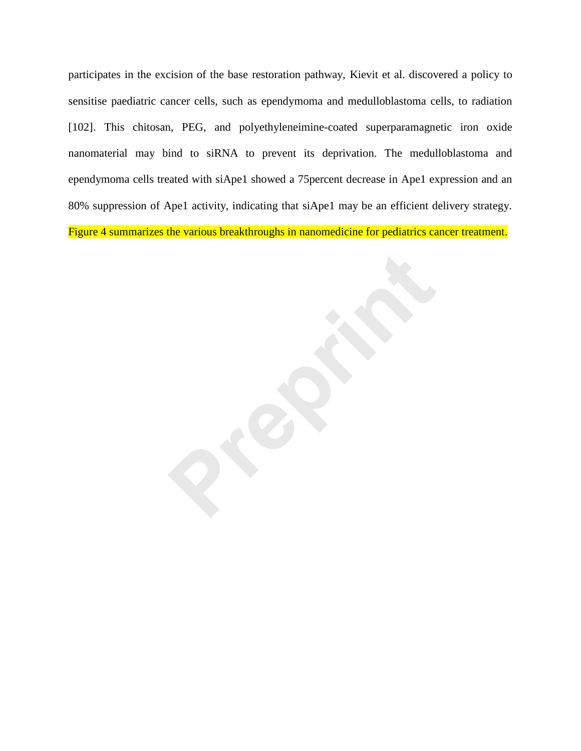participates in the excision of the base restoration pathway, Kievit et al. discovered a policy to sensitise paediatric cancer cells, such as ependymoma and medulloblastoma cells, to radiation [102]. This chitosan, PEG, and polyethyleneimine-coated superparamagnetic iron oxide nanomaterial may bind to siRNA to prevent its deprivation. The medulloblastoma and ependymoma cells treated with siApe1 showed a 75percent decrease in Ape1 expression and an 80% suppression of Ape1 activity, indicating that siApe1 may be an efficient delivery strategy. Figure 4 summarizes the various breakthroughs in nanomedicine for pediatrics cancer treatment.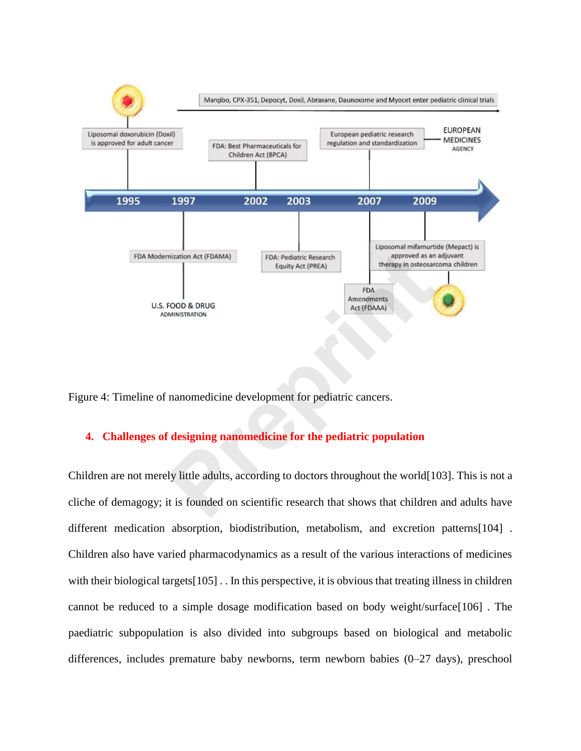

Figure 4: Timeline of nanomedicine development for pediatric cancers.

# **4. Challenges of designing nanomedicine for the pediatric population**

Children are not merely little adults, according to doctors throughout the world[103]. This is not a cliche of demagogy; it is founded on scientific research that shows that children and adults have different medication absorption, biodistribution, metabolism, and excretion patterns[104] . Children also have varied pharmacodynamics as a result of the various interactions of medicines with their biological targets[105]. In this perspective, it is obvious that treating illness in children cannot be reduced to a simple dosage modification based on body weight/surface[106] . The paediatric subpopulation is also divided into subgroups based on biological and metabolic differences, includes premature baby newborns, term newborn babies (0–27 days), preschool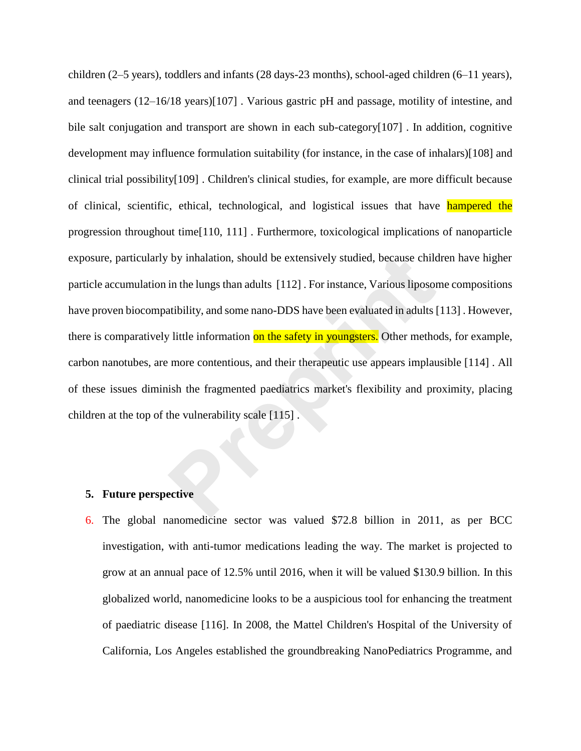children (2–5 years), toddlers and infants (28 days-23 months), school-aged children (6–11 years), and teenagers (12–16/18 years)[107] . Various gastric pH and passage, motility of intestine, and bile salt conjugation and transport are shown in each sub-category[107] . In addition, cognitive development may influence formulation suitability (for instance, in the case of inhalars)[108] and clinical trial possibility[109] . Children's clinical studies, for example, are more difficult because of clinical, scientific, ethical, technological, and logistical issues that have hampered the progression throughout time[110, 111] . Furthermore, toxicological implications of nanoparticle exposure, particularly by inhalation, should be extensively studied, because children have higher particle accumulation in the lungs than adults [112] . For instance, Various liposome compositions have proven biocompatibility, and some nano-DDS have been evaluated in adults [113]. However, there is comparatively little information on the safety in youngsters. Other methods, for example, carbon nanotubes, are more contentious, and their therapeutic use appears implausible [114] . All of these issues diminish the fragmented paediatrics market's flexibility and proximity, placing children at the top of the vulnerability scale [115] . by inhalation, should be extensively studied, because chile<br>in the lungs than adults [112]. For instance, Various liposon<br>atibility, and some nano-DDS have been evaluated in adults |<br>/<br>little information on the safety in y

#### **5. Future perspective**

6. The global nanomedicine sector was valued \$72.8 billion in 2011, as per BCC investigation, with anti-tumor medications leading the way. The market is projected to grow at an annual pace of 12.5% until 2016, when it will be valued \$130.9 billion. In this globalized world, nanomedicine looks to be a auspicious tool for enhancing the treatment of paediatric disease [116]. In 2008, the Mattel Children's Hospital of the University of California, Los Angeles established the groundbreaking NanoPediatrics Programme, and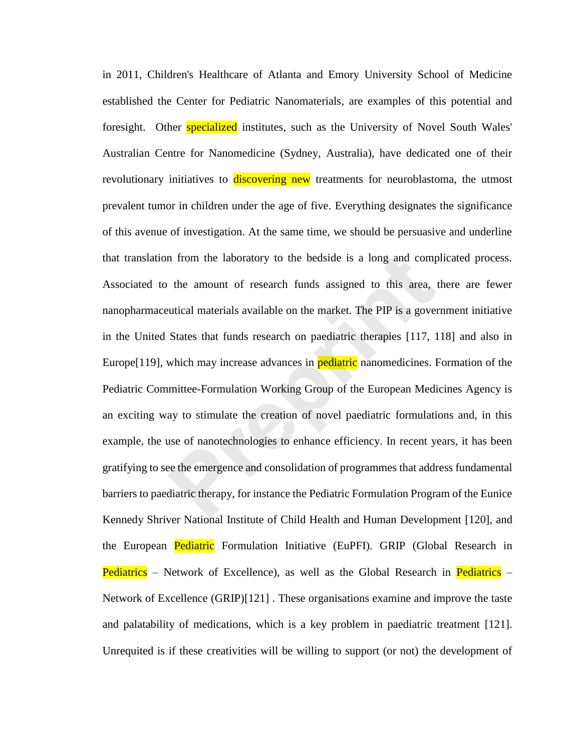in 2011, Children's Healthcare of Atlanta and Emory University School of Medicine established the Center for Pediatric Nanomaterials, are examples of this potential and foresight. Other **specialized** institutes, such as the University of Novel South Wales' Australian Centre for Nanomedicine (Sydney, Australia), have dedicated one of their revolutionary initiatives to **discovering new** treatments for neuroblastoma, the utmost prevalent tumor in children under the age of five. Everything designates the significance of this avenue of investigation. At the same time, we should be persuasive and underline that translation from the laboratory to the bedside is a long and complicated process. Associated to the amount of research funds assigned to this area, there are fewer nanopharmaceutical materials available on the market. The PIP is a government initiative in the United States that funds research on paediatric therapies [117, 118] and also in Europe<sup>[119]</sup>, which may increase advances in **pediatric** nanomedicines. Formation of the Pediatric Committee-Formulation Working Group of the European Medicines Agency is an exciting way to stimulate the creation of novel paediatric formulations and, in this example, the use of nanotechnologies to enhance efficiency. In recent years, it has been gratifying to see the emergence and consolidation of programmes that address fundamental barriers to paediatric therapy, for instance the Pediatric Formulation Program of the Eunice Kennedy Shriver National Institute of Child Health and Human Development [120], and the European Pediatric Formulation Initiative (EuPFI). GRIP (Global Research in Pediatrics – Network of Excellence), as well as the Global Research in Pediatrics – Network of Excellence (GRIP)[121] . These organisations examine and improve the taste and palatability of medications, which is a key problem in paediatric treatment [121]. Unrequited is if these creativities will be willing to support (or not) the development of In from the laboratory to the bedside is a long and comprenent the amount of research funds assigned to this area, eutical materials available on the market. The PIP is a gover States that funds research on paediatric ther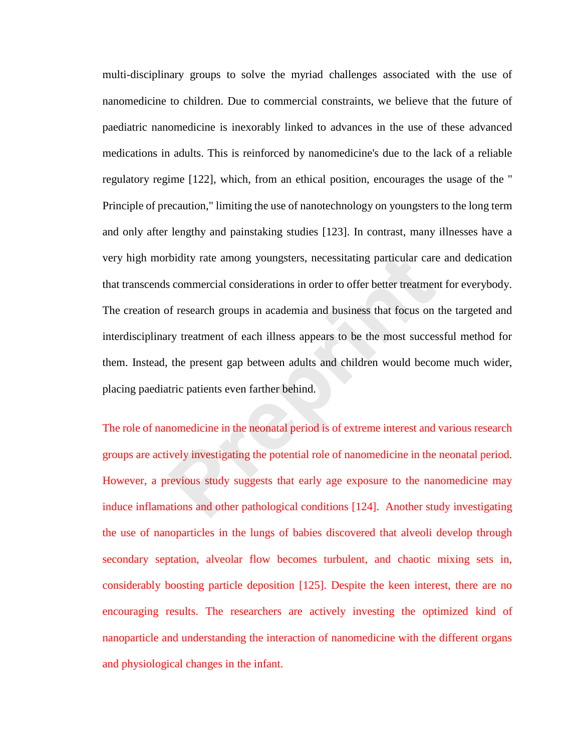multi-disciplinary groups to solve the myriad challenges associated with the use of nanomedicine to children. Due to commercial constraints, we believe that the future of paediatric nanomedicine is inexorably linked to advances in the use of these advanced medications in adults. This is reinforced by nanomedicine's due to the lack of a reliable regulatory regime [122], which, from an ethical position, encourages the usage of the " Principle of precaution," limiting the use of nanotechnology on youngsters to the long term and only after lengthy and painstaking studies [123]. In contrast, many illnesses have a very high morbidity rate among youngsters, necessitating particular care and dedication that transcends commercial considerations in order to offer better treatment for everybody. The creation of research groups in academia and business that focus on the targeted and interdisciplinary treatment of each illness appears to be the most successful method for them. Instead, the present gap between adults and children would become much wider, placing paediatric patients even farther behind. bidity rate among youngsters, necessitating particular cares<br>
s commercial considerations in order to offer better treatmer<br>
of research groups in academia and business that focus on<br>
ry treatment of each illness appears t

The role of nanomedicine in the neonatal period is of extreme interest and various research groups are actively investigating the potential role of nanomedicine in the neonatal period. However, a previous study suggests that early age exposure to the nanomedicine may induce inflamations and other pathological conditions [124]. Another study investigating the use of nanoparticles in the lungs of babies discovered that alveoli develop through secondary septation, alveolar flow becomes turbulent, and chaotic mixing sets in, considerably boosting particle deposition [125]. Despite the keen interest, there are no encouraging results. The researchers are actively investing the optimized kind of nanoparticle and understanding the interaction of nanomedicine with the different organs and physiological changes in the infant.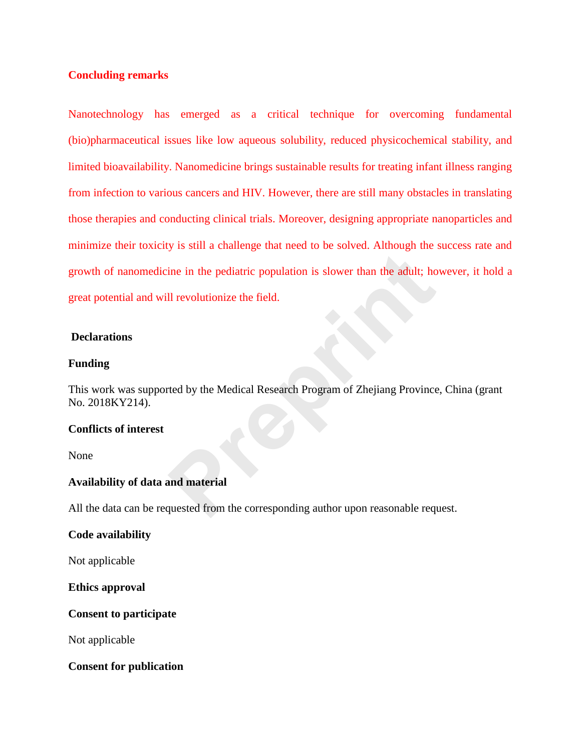# **Concluding remarks**

Nanotechnology has emerged as a critical technique for overcoming fundamental (bio)pharmaceutical issues like low aqueous solubility, reduced physicochemical stability, and limited bioavailability. Nanomedicine brings sustainable results for treating infant illness ranging from infection to various cancers and HIV. However, there are still many obstacles in translating those therapies and conducting clinical trials. Moreover, designing appropriate nanoparticles and minimize their toxicity is still a challenge that need to be solved. Although the success rate and growth of nanomedicine in the pediatric population is slower than the adult; however, it hold a great potential and will revolutionize the field. ine in the pediatric population is slower than the adult; ho<br>
Il revolutionize the field.<br> **Prepriet is than the adult of the Medical Research Program of Zhejiang Province**<br> **Province**<br> **Province**<br> **Province**<br> **Province**<br>

## **Declarations**

## **Funding**

This work was supported by the Medical Research Program of Zhejiang Province, China (grant No. 2018KY214).

# **Conflicts of interest**

None

# **Availability of data and material**

All the data can be requested from the corresponding author upon reasonable request.

## **Code availability**

Not applicable

**Ethics approval**

# **Consent to participate**

Not applicable

#### **Consent for publication**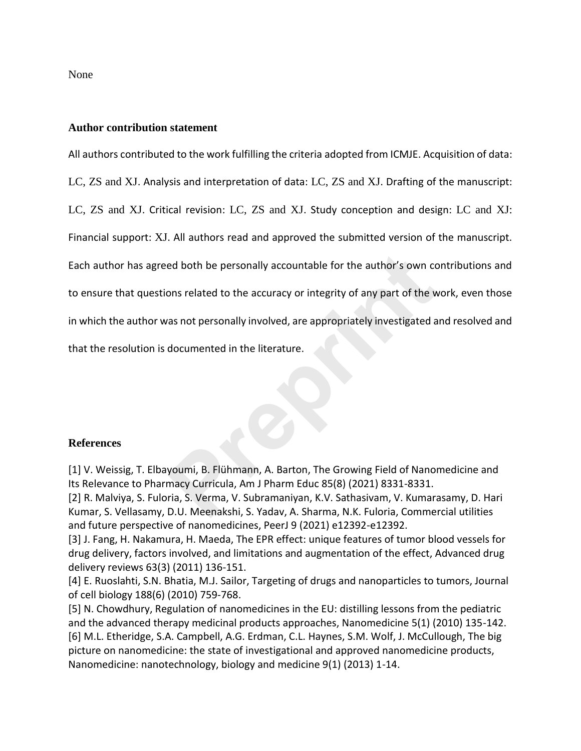None

# **Author contribution statement**

All authors contributed to the work fulfilling the criteria adopted from ICMJE. Acquisition of data: LC, ZS and XJ. Analysis and interpretation of data: LC, ZS and XJ. Drafting of the manuscript: LC, ZS and XJ. Critical revision: LC, ZS and XJ. Study conception and design: LC and XJ: Financial support: XJ. All authors read and approved the submitted version of the manuscript. Each author has agreed both be personally accountable for the author's own contributions and to ensure that questions related to the accuracy or integrity of any part of the work, even those in which the author was not personally involved, are appropriately investigated and resolved and that the resolution is documented in the literature. ed both be personally accountable for the author's own co<br>
ons related to the accuracy or integrity of any part of the w<br>
vas not personally involved, are appropriately investigated a<br>
documented in the literature.<br>
youmi,

# **References**

[1] V. Weissig, T. Elbayoumi, B. Flühmann, A. Barton, The Growing Field of Nanomedicine and Its Relevance to Pharmacy Curricula, Am J Pharm Educ 85(8) (2021) 8331-8331.

[2] R. Malviya, S. Fuloria, S. Verma, V. Subramaniyan, K.V. Sathasivam, V. Kumarasamy, D. Hari Kumar, S. Vellasamy, D.U. Meenakshi, S. Yadav, A. Sharma, N.K. Fuloria, Commercial utilities and future perspective of nanomedicines, PeerJ 9 (2021) e12392-e12392.

[3] J. Fang, H. Nakamura, H. Maeda, The EPR effect: unique features of tumor blood vessels for drug delivery, factors involved, and limitations and augmentation of the effect, Advanced drug delivery reviews 63(3) (2011) 136-151.

[4] E. Ruoslahti, S.N. Bhatia, M.J. Sailor, Targeting of drugs and nanoparticles to tumors, Journal of cell biology 188(6) (2010) 759-768.

[5] N. Chowdhury, Regulation of nanomedicines in the EU: distilling lessons from the pediatric and the advanced therapy medicinal products approaches, Nanomedicine 5(1) (2010) 135-142. [6] M.L. Etheridge, S.A. Campbell, A.G. Erdman, C.L. Haynes, S.M. Wolf, J. McCullough, The big picture on nanomedicine: the state of investigational and approved nanomedicine products, Nanomedicine: nanotechnology, biology and medicine 9(1) (2013) 1-14.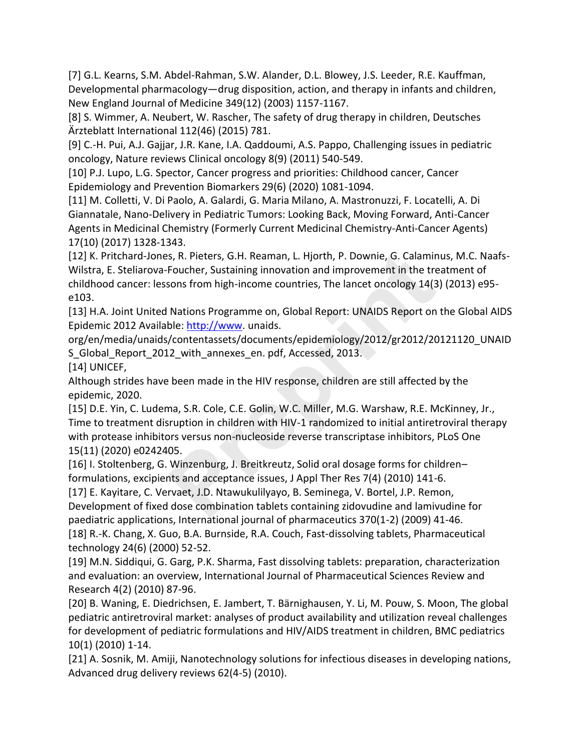[7] G.L. Kearns, S.M. Abdel-Rahman, S.W. Alander, D.L. Blowey, J.S. Leeder, R.E. Kauffman, Developmental pharmacology—drug disposition, action, and therapy in infants and children, New England Journal of Medicine 349(12) (2003) 1157-1167.

[8] S. Wimmer, A. Neubert, W. Rascher, The safety of drug therapy in children, Deutsches Ärzteblatt International 112(46) (2015) 781.

[9] C.-H. Pui, A.J. Gajjar, J.R. Kane, I.A. Qaddoumi, A.S. Pappo, Challenging issues in pediatric oncology, Nature reviews Clinical oncology 8(9) (2011) 540-549.

[10] P.J. Lupo, L.G. Spector, Cancer progress and priorities: Childhood cancer, Cancer Epidemiology and Prevention Biomarkers 29(6) (2020) 1081-1094.

[11] M. Colletti, V. Di Paolo, A. Galardi, G. Maria Milano, A. Mastronuzzi, F. Locatelli, A. Di Giannatale, Nano-Delivery in Pediatric Tumors: Looking Back, Moving Forward, Anti-Cancer Agents in Medicinal Chemistry (Formerly Current Medicinal Chemistry-Anti-Cancer Agents) 17(10) (2017) 1328-1343.

[12] K. Pritchard-Jones, R. Pieters, G.H. Reaman, L. Hjorth, P. Downie, G. Calaminus, M.C. Naafs-Wilstra, E. Steliarova-Foucher, Sustaining innovation and improvement in the treatment of childhood cancer: lessons from high-income countries, The lancet oncology 14(3) (2013) e95 e103. is, R. Pieters, G.H. Reaman, L. Hjorth, P. Downie, G. Calamir<br>Foucher, Sustaining innovation and improvement in the treams from high-income countries, The lancet oncology 14(3<br>Nations Programme on, Global Report: UNAIDS Re

[13] H.A. Joint United Nations Programme on, Global Report: UNAIDS Report on the Global AIDS Epidemic 2012 Available: http://www. unaids.

org/en/media/unaids/contentassets/documents/epidemiology/2012/gr2012/20121120\_UNAID S Global Report 2012 with annexes en. pdf, Accessed, 2013.

[14] UNICEF,

Although strides have been made in the HIV response, children are still affected by the epidemic, 2020.

[15] D.E. Yin, C. Ludema, S.R. Cole, C.E. Golin, W.C. Miller, M.G. Warshaw, R.E. McKinney, Jr., Time to treatment disruption in children with HIV-1 randomized to initial antiretroviral therapy with protease inhibitors versus non-nucleoside reverse transcriptase inhibitors, PLoS One 15(11) (2020) e0242405.

[16] I. Stoltenberg, G. Winzenburg, J. Breitkreutz, Solid oral dosage forms for children– formulations, excipients and acceptance issues, J Appl Ther Res 7(4) (2010) 141-6.

[17] E. Kayitare, C. Vervaet, J.D. Ntawukulilyayo, B. Seminega, V. Bortel, J.P. Remon, Development of fixed dose combination tablets containing zidovudine and lamivudine for paediatric applications, International journal of pharmaceutics 370(1-2) (2009) 41-46.

[18] R.-K. Chang, X. Guo, B.A. Burnside, R.A. Couch, Fast-dissolving tablets, Pharmaceutical technology 24(6) (2000) 52-52.

[19] M.N. Siddiqui, G. Garg, P.K. Sharma, Fast dissolving tablets: preparation, characterization and evaluation: an overview, International Journal of Pharmaceutical Sciences Review and Research 4(2) (2010) 87-96.

[20] B. Waning, E. Diedrichsen, E. Jambert, T. Bärnighausen, Y. Li, M. Pouw, S. Moon, The global pediatric antiretroviral market: analyses of product availability and utilization reveal challenges for development of pediatric formulations and HIV/AIDS treatment in children, BMC pediatrics 10(1) (2010) 1-14.

[21] A. Sosnik, M. Amiji, Nanotechnology solutions for infectious diseases in developing nations, Advanced drug delivery reviews 62(4-5) (2010).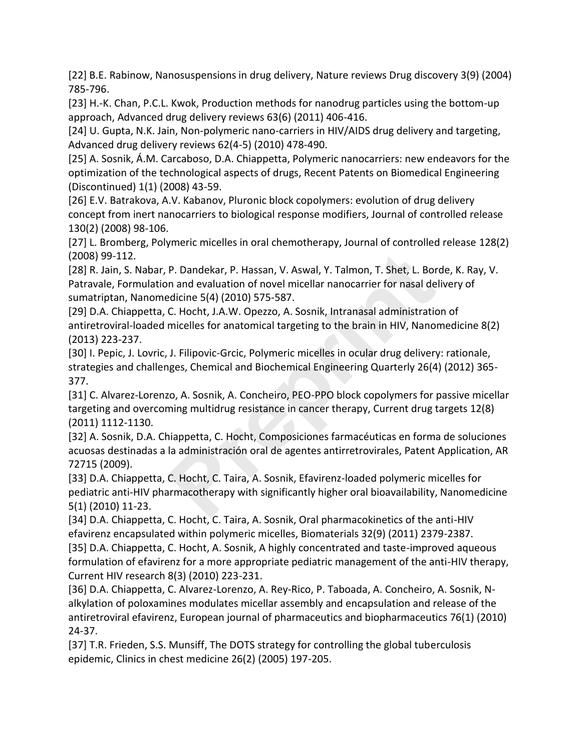[22] B.E. Rabinow, Nanosuspensions in drug delivery, Nature reviews Drug discovery 3(9) (2004) 785-796.

[23] H.-K. Chan, P.C.L. Kwok, Production methods for nanodrug particles using the bottom-up approach, Advanced drug delivery reviews 63(6) (2011) 406-416.

[24] U. Gupta, N.K. Jain, Non-polymeric nano-carriers in HIV/AIDS drug delivery and targeting, Advanced drug delivery reviews 62(4-5) (2010) 478-490.

[25] A. Sosnik, Á.M. Carcaboso, D.A. Chiappetta, Polymeric nanocarriers: new endeavors for the optimization of the technological aspects of drugs, Recent Patents on Biomedical Engineering (Discontinued) 1(1) (2008) 43-59.

[26] E.V. Batrakova, A.V. Kabanov, Pluronic block copolymers: evolution of drug delivery concept from inert nanocarriers to biological response modifiers, Journal of controlled release 130(2) (2008) 98-106.

[27] L. Bromberg, Polymeric micelles in oral chemotherapy, Journal of controlled release 128(2) (2008) 99-112.

[28] R. Jain, S. Nabar, P. Dandekar, P. Hassan, V. Aswal, Y. Talmon, T. Shet, L. Borde, K. Ray, V. Patravale, Formulation and evaluation of novel micellar nanocarrier for nasal delivery of sumatriptan, Nanomedicine 5(4) (2010) 575-587.

[29] D.A. Chiappetta, C. Hocht, J.A.W. Opezzo, A. Sosnik, Intranasal administration of antiretroviral-loaded micelles for anatomical targeting to the brain in HIV, Nanomedicine 8(2) (2013) 223-237.

[30] I. Pepic, J. Lovric, J. Filipovic-Grcic, Polymeric micelles in ocular drug delivery: rationale, strategies and challenges, Chemical and Biochemical Engineering Quarterly 26(4) (2012) 365- 377.

[31] C. Alvarez-Lorenzo, A. Sosnik, A. Concheiro, PEO-PPO block copolymers for passive micellar targeting and overcoming multidrug resistance in cancer therapy, Current drug targets 12(8) (2011) 1112-1130. P. Dandekar, P. Hassan, V. Aswal, Y. Talmon, T. Shet, L. Bor<br>
n and evaluation of novel micellar nanocarrier for nasal de<br>
edicine 5(4) (2010) 575-587.<br>
C. Hocht, J.A.W. Opezzo, A. Sosnik, Intranasal administratic<br>
micelle

[32] A. Sosnik, D.A. Chiappetta, C. Hocht, Composiciones farmacéuticas en forma de soluciones acuosas destinadas a la administración oral de agentes antirretrovirales, Patent Application, AR 72715 (2009).

[33] D.A. Chiappetta, C. Hocht, C. Taira, A. Sosnik, Efavirenz-loaded polymeric micelles for pediatric anti-HIV pharmacotherapy with significantly higher oral bioavailability, Nanomedicine 5(1) (2010) 11-23.

[34] D.A. Chiappetta, C. Hocht, C. Taira, A. Sosnik, Oral pharmacokinetics of the anti-HIV efavirenz encapsulated within polymeric micelles, Biomaterials 32(9) (2011) 2379-2387.

[35] D.A. Chiappetta, C. Hocht, A. Sosnik, A highly concentrated and taste-improved aqueous formulation of efavirenz for a more appropriate pediatric management of the anti-HIV therapy, Current HIV research 8(3) (2010) 223-231.

[36] D.A. Chiappetta, C. Alvarez-Lorenzo, A. Rey-Rico, P. Taboada, A. Concheiro, A. Sosnik, Nalkylation of poloxamines modulates micellar assembly and encapsulation and release of the antiretroviral efavirenz, European journal of pharmaceutics and biopharmaceutics 76(1) (2010) 24-37.

[37] T.R. Frieden, S.S. Munsiff, The DOTS strategy for controlling the global tuberculosis epidemic, Clinics in chest medicine 26(2) (2005) 197-205.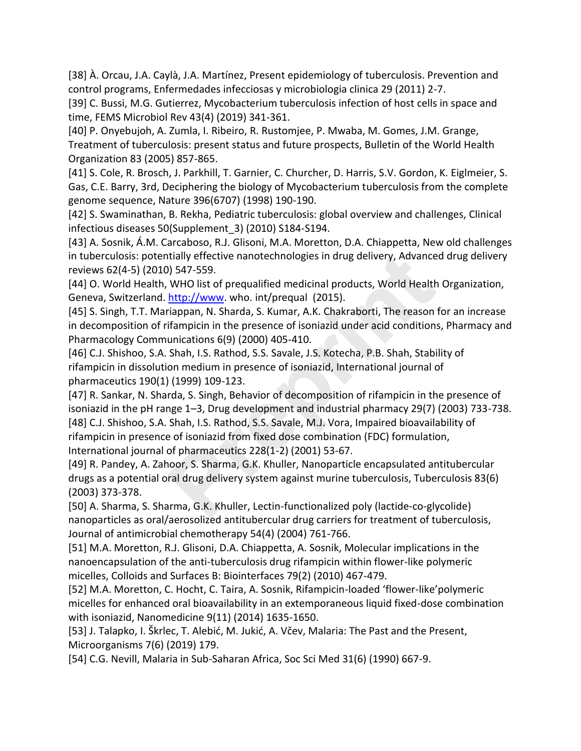[38] À. Orcau, J.A. Caylà, J.A. Martínez, Present epidemiology of tuberculosis. Prevention and control programs, Enfermedades infecciosas y microbiologia clinica 29 (2011) 2-7.

[39] C. Bussi, M.G. Gutierrez, Mycobacterium tuberculosis infection of host cells in space and time, FEMS Microbiol Rev 43(4) (2019) 341-361.

[40] P. Onyebujoh, A. Zumla, I. Ribeiro, R. Rustomjee, P. Mwaba, M. Gomes, J.M. Grange, Treatment of tuberculosis: present status and future prospects, Bulletin of the World Health Organization 83 (2005) 857-865.

[41] S. Cole, R. Brosch, J. Parkhill, T. Garnier, C. Churcher, D. Harris, S.V. Gordon, K. Eiglmeier, S. Gas, C.E. Barry, 3rd, Deciphering the biology of Mycobacterium tuberculosis from the complete genome sequence, Nature 396(6707) (1998) 190-190.

[42] S. Swaminathan, B. Rekha, Pediatric tuberculosis: global overview and challenges, Clinical infectious diseases 50(Supplement\_3) (2010) S184-S194.

[43] A. Sosnik, Á.M. Carcaboso, R.J. Glisoni, M.A. Moretton, D.A. Chiappetta, New old challenges in tuberculosis: potentially effective nanotechnologies in drug delivery, Advanced drug delivery reviews 62(4-5) (2010) 547-559.

[44] O. World Health, WHO list of prequalified medicinal products, World Health Organization, Geneva, Switzerland. http://www. who. int/prequal (2015).

[45] S. Singh, T.T. Mariappan, N. Sharda, S. Kumar, A.K. Chakraborti, The reason for an increase in decomposition of rifampicin in the presence of isoniazid under acid conditions, Pharmacy and Pharmacology Communications 6(9) (2000) 405-410.

[46] C.J. Shishoo, S.A. Shah, I.S. Rathod, S.S. Savale, J.S. Kotecha, P.B. Shah, Stability of rifampicin in dissolution medium in presence of isoniazid, International journal of pharmaceutics 190(1) (1999) 109-123.

[47] R. Sankar, N. Sharda, S. Singh, Behavior of decomposition of rifampicin in the presence of isoniazid in the pH range 1–3, Drug development and industrial pharmacy 29(7) (2003) 733-738. [48] C.J. Shishoo, S.A. Shah, I.S. Rathod, S.S. Savale, M.J. Vora, Impaired bioavailability of rifampicin in presence of isoniazid from fixed dose combination (FDC) formulation, International journal of pharmaceutics 228(1-2) (2001) 53-67. tially effective nanotechnologies in drug delivery, Advance<br> **Preprident Solution** S47-559.<br>
WHO list of prequalified medicinal products, World Health<br>
<u>http://www</u>. who. int/prequal (2015).<br>
Free ason if ampicin in the pr

[49] R. Pandey, A. Zahoor, S. Sharma, G.K. Khuller, Nanoparticle encapsulated antitubercular drugs as a potential oral drug delivery system against murine tuberculosis, Tuberculosis 83(6) (2003) 373-378.

[50] A. Sharma, S. Sharma, G.K. Khuller, Lectin-functionalized poly (lactide-co-glycolide) nanoparticles as oral/aerosolized antitubercular drug carriers for treatment of tuberculosis, Journal of antimicrobial chemotherapy 54(4) (2004) 761-766.

[51] M.A. Moretton, R.J. Glisoni, D.A. Chiappetta, A. Sosnik, Molecular implications in the nanoencapsulation of the anti-tuberculosis drug rifampicin within flower-like polymeric micelles, Colloids and Surfaces B: Biointerfaces 79(2) (2010) 467-479.

[52] M.A. Moretton, C. Hocht, C. Taira, A. Sosnik, Rifampicin-loaded 'flower-like'polymeric micelles for enhanced oral bioavailability in an extemporaneous liquid fixed-dose combination with isoniazid, Nanomedicine 9(11) (2014) 1635-1650.

[53] J. Talapko, I. Škrlec, T. Alebić, M. Jukić, A. Včev, Malaria: The Past and the Present, Microorganisms 7(6) (2019) 179.

[54] C.G. Nevill, Malaria in Sub-Saharan Africa, Soc Sci Med 31(6) (1990) 667-9.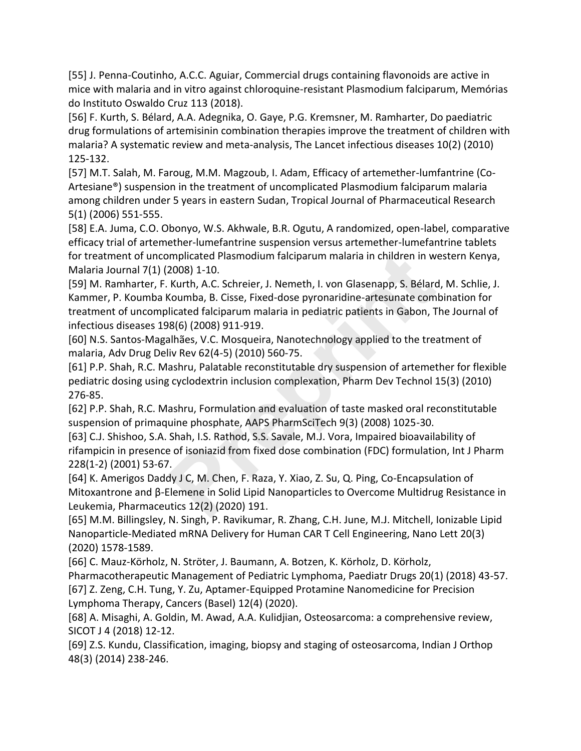[55] J. Penna-Coutinho, A.C.C. Aguiar, Commercial drugs containing flavonoids are active in mice with malaria and in vitro against chloroquine-resistant Plasmodium falciparum, Memórias do Instituto Oswaldo Cruz 113 (2018).

[56] F. Kurth, S. Bélard, A.A. Adegnika, O. Gaye, P.G. Kremsner, M. Ramharter, Do paediatric drug formulations of artemisinin combination therapies improve the treatment of children with malaria? A systematic review and meta-analysis, The Lancet infectious diseases 10(2) (2010) 125-132.

[57] M.T. Salah, M. Faroug, M.M. Magzoub, I. Adam, Efficacy of artemether-lumfantrine (Co-Artesiane®) suspension in the treatment of uncomplicated Plasmodium falciparum malaria among children under 5 years in eastern Sudan, Tropical Journal of Pharmaceutical Research 5(1) (2006) 551-555.

[58] E.A. Juma, C.O. Obonyo, W.S. Akhwale, B.R. Ogutu, A randomized, open-label, comparative efficacy trial of artemether-lumefantrine suspension versus artemether-lumefantrine tablets for treatment of uncomplicated Plasmodium falciparum malaria in children in western Kenya, Malaria Journal 7(1) (2008) 1-10.

[59] M. Ramharter, F. Kurth, A.C. Schreier, J. Nemeth, I. von Glasenapp, S. Bélard, M. Schlie, J. Kammer, P. Koumba Koumba, B. Cisse, Fixed-dose pyronaridine-artesunate combination for treatment of uncomplicated falciparum malaria in pediatric patients in Gabon, The Journal of infectious diseases 198(6) (2008) 911-919. mplicated Plasmodium falciparum malaria in children in w<br>2008) 1-10.<br>Kurth, A.C. Schreier, J. Nemeth, I. von Glasenapp, S. Bélarc<br>Koumba, B. Cisse, Fixed-dose pyronaridine-artesunate com<br>licated falciparum malaria in pedia

[60] N.S. Santos-Magalhães, V.C. Mosqueira, Nanotechnology applied to the treatment of malaria, Adv Drug Deliv Rev 62(4-5) (2010) 560-75.

[61] P.P. Shah, R.C. Mashru, Palatable reconstitutable dry suspension of artemether for flexible pediatric dosing using cyclodextrin inclusion complexation, Pharm Dev Technol 15(3) (2010) 276-85.

[62] P.P. Shah, R.C. Mashru, Formulation and evaluation of taste masked oral reconstitutable suspension of primaquine phosphate, AAPS PharmSciTech 9(3) (2008) 1025-30.

[63] C.J. Shishoo, S.A. Shah, I.S. Rathod, S.S. Savale, M.J. Vora, Impaired bioavailability of rifampicin in presence of isoniazid from fixed dose combination (FDC) formulation, Int J Pharm 228(1-2) (2001) 53-67.

[64] K. Amerigos Daddy J C, M. Chen, F. Raza, Y. Xiao, Z. Su, Q. Ping, Co-Encapsulation of Mitoxantrone and β-Elemene in Solid Lipid Nanoparticles to Overcome Multidrug Resistance in Leukemia, Pharmaceutics 12(2) (2020) 191.

[65] M.M. Billingsley, N. Singh, P. Ravikumar, R. Zhang, C.H. June, M.J. Mitchell, Ionizable Lipid Nanoparticle-Mediated mRNA Delivery for Human CAR T Cell Engineering, Nano Lett 20(3) (2020) 1578-1589.

[66] C. Mauz-Körholz, N. Ströter, J. Baumann, A. Botzen, K. Körholz, D. Körholz,

Pharmacotherapeutic Management of Pediatric Lymphoma, Paediatr Drugs 20(1) (2018) 43-57. [67] Z. Zeng, C.H. Tung, Y. Zu, Aptamer-Equipped Protamine Nanomedicine for Precision Lymphoma Therapy, Cancers (Basel) 12(4) (2020).

[68] A. Misaghi, A. Goldin, M. Awad, A.A. Kulidjian, Osteosarcoma: a comprehensive review, SICOT J 4 (2018) 12-12.

[69] Z.S. Kundu, Classification, imaging, biopsy and staging of osteosarcoma, Indian J Orthop 48(3) (2014) 238-246.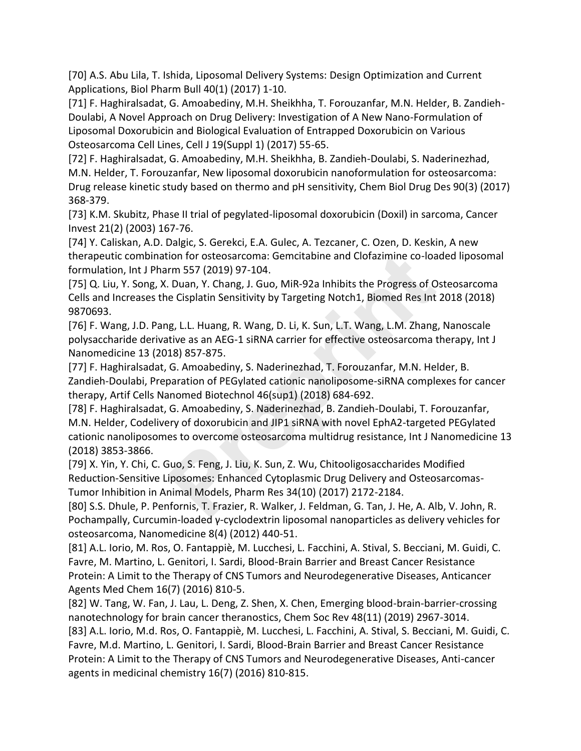[70] A.S. Abu Lila, T. Ishida, Liposomal Delivery Systems: Design Optimization and Current Applications, Biol Pharm Bull 40(1) (2017) 1-10.

[71] F. Haghiralsadat, G. Amoabediny, M.H. Sheikhha, T. Forouzanfar, M.N. Helder, B. Zandieh-Doulabi, A Novel Approach on Drug Delivery: Investigation of A New Nano-Formulation of Liposomal Doxorubicin and Biological Evaluation of Entrapped Doxorubicin on Various Osteosarcoma Cell Lines, Cell J 19(Suppl 1) (2017) 55-65.

[72] F. Haghiralsadat, G. Amoabediny, M.H. Sheikhha, B. Zandieh-Doulabi, S. Naderinezhad, M.N. Helder, T. Forouzanfar, New liposomal doxorubicin nanoformulation for osteosarcoma: Drug release kinetic study based on thermo and pH sensitivity, Chem Biol Drug Des 90(3) (2017) 368-379.

[73] K.M. Skubitz, Phase II trial of pegylated-liposomal doxorubicin (Doxil) in sarcoma, Cancer Invest 21(2) (2003) 167-76.

[74] Y. Caliskan, A.D. Dalgic, S. Gerekci, E.A. Gulec, A. Tezcaner, C. Ozen, D. Keskin, A new therapeutic combination for osteosarcoma: Gemcitabine and Clofazimine co-loaded liposomal formulation, Int J Pharm 557 (2019) 97-104.

[75] Q. Liu, Y. Song, X. Duan, Y. Chang, J. Guo, MiR-92a Inhibits the Progress of Osteosarcoma Cells and Increases the Cisplatin Sensitivity by Targeting Notch1, Biomed Res Int 2018 (2018) 9870693.

[76] F. Wang, J.D. Pang, L.L. Huang, R. Wang, D. Li, K. Sun, L.T. Wang, L.M. Zhang, Nanoscale polysaccharide derivative as an AEG-1 siRNA carrier for effective osteosarcoma therapy, Int J Nanomedicine 13 (2018) 857-875.

[77] F. Haghiralsadat, G. Amoabediny, S. Naderinezhad, T. Forouzanfar, M.N. Helder, B. Zandieh-Doulabi, Preparation of PEGylated cationic nanoliposome-siRNA complexes for cancer therapy, Artif Cells Nanomed Biotechnol 46(sup1) (2018) 684-692.

[78] F. Haghiralsadat, G. Amoabediny, S. Naderinezhad, B. Zandieh-Doulabi, T. Forouzanfar, M.N. Helder, Codelivery of doxorubicin and JIP1 siRNA with novel EphA2-targeted PEGylated cationic nanoliposomes to overcome osteosarcoma multidrug resistance, Int J Nanomedicine 13 (2018) 3853-3866. ion for osteosarcoma: Gemcitabine and Clofazimine co-loam<br>
F57 (2019) 97-104.<br>
Duan, Y. Chang, J. Guo, MiR-92a Inhibits the Progress of O<br>
e Cisplatin Sensitivity by Targeting Notch1, Biomed Res Int<br>
g, L.L. Huang, R. Wang

[79] X. Yin, Y. Chi, C. Guo, S. Feng, J. Liu, K. Sun, Z. Wu, Chitooligosaccharides Modified Reduction-Sensitive Liposomes: Enhanced Cytoplasmic Drug Delivery and Osteosarcomas-Tumor Inhibition in Animal Models, Pharm Res 34(10) (2017) 2172-2184.

[80] S.S. Dhule, P. Penfornis, T. Frazier, R. Walker, J. Feldman, G. Tan, J. He, A. Alb, V. John, R. Pochampally, Curcumin-loaded γ-cyclodextrin liposomal nanoparticles as delivery vehicles for osteosarcoma, Nanomedicine 8(4) (2012) 440-51.

[81] A.L. Iorio, M. Ros, O. Fantappiè, M. Lucchesi, L. Facchini, A. Stival, S. Becciani, M. Guidi, C. Favre, M. Martino, L. Genitori, I. Sardi, Blood-Brain Barrier and Breast Cancer Resistance Protein: A Limit to the Therapy of CNS Tumors and Neurodegenerative Diseases, Anticancer Agents Med Chem 16(7) (2016) 810-5.

[82] W. Tang, W. Fan, J. Lau, L. Deng, Z. Shen, X. Chen, Emerging blood-brain-barrier-crossing nanotechnology for brain cancer theranostics, Chem Soc Rev 48(11) (2019) 2967-3014.

[83] A.L. Iorio, M.d. Ros, O. Fantappiè, M. Lucchesi, L. Facchini, A. Stival, S. Becciani, M. Guidi, C. Favre, M.d. Martino, L. Genitori, I. Sardi, Blood-Brain Barrier and Breast Cancer Resistance Protein: A Limit to the Therapy of CNS Tumors and Neurodegenerative Diseases, Anti-cancer agents in medicinal chemistry 16(7) (2016) 810-815.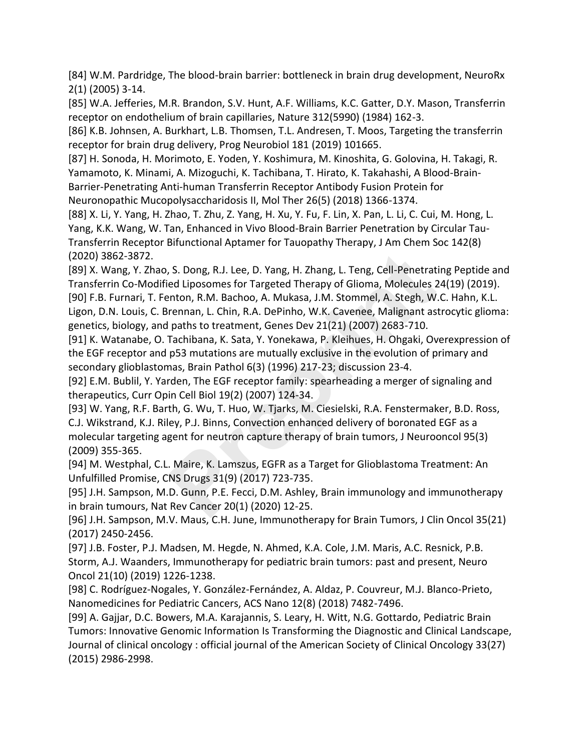[84] W.M. Pardridge, The blood-brain barrier: bottleneck in brain drug development, NeuroRx 2(1) (2005) 3-14.

[85] W.A. Jefferies, M.R. Brandon, S.V. Hunt, A.F. Williams, K.C. Gatter, D.Y. Mason, Transferrin receptor on endothelium of brain capillaries, Nature 312(5990) (1984) 162-3.

[86] K.B. Johnsen, A. Burkhart, L.B. Thomsen, T.L. Andresen, T. Moos, Targeting the transferrin receptor for brain drug delivery, Prog Neurobiol 181 (2019) 101665.

[87] H. Sonoda, H. Morimoto, E. Yoden, Y. Koshimura, M. Kinoshita, G. Golovina, H. Takagi, R. Yamamoto, K. Minami, A. Mizoguchi, K. Tachibana, T. Hirato, K. Takahashi, A Blood-Brain-Barrier-Penetrating Anti-human Transferrin Receptor Antibody Fusion Protein for Neuronopathic Mucopolysaccharidosis II, Mol Ther 26(5) (2018) 1366-1374.

[88] X. Li, Y. Yang, H. Zhao, T. Zhu, Z. Yang, H. Xu, Y. Fu, F. Lin, X. Pan, L. Li, C. Cui, M. Hong, L. Yang, K.K. Wang, W. Tan, Enhanced in Vivo Blood-Brain Barrier Penetration by Circular Tau-Transferrin Receptor Bifunctional Aptamer for Tauopathy Therapy, J Am Chem Soc 142(8) (2020) 3862-3872.

[89] X. Wang, Y. Zhao, S. Dong, R.J. Lee, D. Yang, H. Zhang, L. Teng, Cell-Penetrating Peptide and Transferrin Co-Modified Liposomes for Targeted Therapy of Glioma, Molecules 24(19) (2019). [90] F.B. Furnari, T. Fenton, R.M. Bachoo, A. Mukasa, J.M. Stommel, A. Stegh, W.C. Hahn, K.L.

Ligon, D.N. Louis, C. Brennan, L. Chin, R.A. DePinho, W.K. Cavenee, Malignant astrocytic glioma: genetics, biology, and paths to treatment, Genes Dev 21(21) (2007) 2683-710.

[91] K. Watanabe, O. Tachibana, K. Sata, Y. Yonekawa, P. Kleihues, H. Ohgaki, Overexpression of the EGF receptor and p53 mutations are mutually exclusive in the evolution of primary and secondary glioblastomas, Brain Pathol 6(3) (1996) 217-23; discussion 23-4.

[92] E.M. Bublil, Y. Yarden, The EGF receptor family: spearheading a merger of signaling and therapeutics, Curr Opin Cell Biol 19(2) (2007) 124-34.

[93] W. Yang, R.F. Barth, G. Wu, T. Huo, W. Tjarks, M. Ciesielski, R.A. Fenstermaker, B.D. Ross, C.J. Wikstrand, K.J. Riley, P.J. Binns, Convection enhanced delivery of boronated EGF as a molecular targeting agent for neutron capture therapy of brain tumors, J Neurooncol 95(3) (2009) 355-365. , S. Dong, R.J. Lee, D. Yang, H. Zhang, L. Teng, Cell-Penetrat<br>ied Liposomes for Targeted Therapy of Glioma, Molecules 2<br>enton, R.M. Bachoo, A. Mukasa, J.M. Stommel, A. Stegh, W.<br>rennan, L. Chin, R.A. DePinho, W.K. Cavenee

[94] M. Westphal, C.L. Maire, K. Lamszus, EGFR as a Target for Glioblastoma Treatment: An Unfulfilled Promise, CNS Drugs 31(9) (2017) 723-735.

[95] J.H. Sampson, M.D. Gunn, P.E. Fecci, D.M. Ashley, Brain immunology and immunotherapy in brain tumours, Nat Rev Cancer 20(1) (2020) 12-25.

[96] J.H. Sampson, M.V. Maus, C.H. June, Immunotherapy for Brain Tumors, J Clin Oncol 35(21) (2017) 2450-2456.

[97] J.B. Foster, P.J. Madsen, M. Hegde, N. Ahmed, K.A. Cole, J.M. Maris, A.C. Resnick, P.B. Storm, A.J. Waanders, Immunotherapy for pediatric brain tumors: past and present, Neuro Oncol 21(10) (2019) 1226-1238.

[98] C. Rodríguez-Nogales, Y. González-Fernández, A. Aldaz, P. Couvreur, M.J. Blanco-Prieto, Nanomedicines for Pediatric Cancers, ACS Nano 12(8) (2018) 7482-7496.

[99] A. Gajjar, D.C. Bowers, M.A. Karajannis, S. Leary, H. Witt, N.G. Gottardo, Pediatric Brain Tumors: Innovative Genomic Information Is Transforming the Diagnostic and Clinical Landscape, Journal of clinical oncology : official journal of the American Society of Clinical Oncology 33(27) (2015) 2986-2998.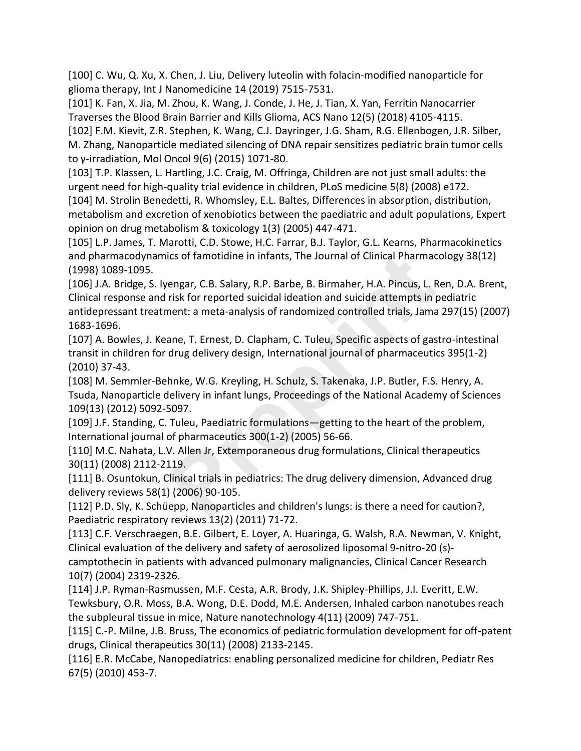[100] C. Wu, Q. Xu, X. Chen, J. Liu, Delivery luteolin with folacin-modified nanoparticle for glioma therapy, Int J Nanomedicine 14 (2019) 7515-7531.

[101] K. Fan, X. Jia, M. Zhou, K. Wang, J. Conde, J. He, J. Tian, X. Yan, Ferritin Nanocarrier Traverses the Blood Brain Barrier and Kills Glioma, ACS Nano 12(5) (2018) 4105-4115.

[102] F.M. Kievit, Z.R. Stephen, K. Wang, C.J. Dayringer, J.G. Sham, R.G. Ellenbogen, J.R. Silber, M. Zhang, Nanoparticle mediated silencing of DNA repair sensitizes pediatric brain tumor cells to γ-irradiation, Mol Oncol 9(6) (2015) 1071-80.

[103] T.P. Klassen, L. Hartling, J.C. Craig, M. Offringa, Children are not just small adults: the urgent need for high-quality trial evidence in children, PLoS medicine 5(8) (2008) e172.

[104] M. Strolin Benedetti, R. Whomsley, E.L. Baltes, Differences in absorption, distribution, metabolism and excretion of xenobiotics between the paediatric and adult populations, Expert opinion on drug metabolism & toxicology 1(3) (2005) 447-471.

[105] L.P. James, T. Marotti, C.D. Stowe, H.C. Farrar, B.J. Taylor, G.L. Kearns, Pharmacokinetics and pharmacodynamics of famotidine in infants, The Journal of Clinical Pharmacology 38(12) (1998) 1089-1095.

[106] J.A. Bridge, S. Iyengar, C.B. Salary, R.P. Barbe, B. Birmaher, H.A. Pincus, L. Ren, D.A. Brent, Clinical response and risk for reported suicidal ideation and suicide attempts in pediatric antidepressant treatment: a meta-analysis of randomized controlled trials, Jama 297(15) (2007) 1683-1696. ics of famotidine in infants, The Journal of Clinical Pharmac<br>
engar, C.B. Salary, R.P. Barbe, B. Birmaher, H.A. Pincus, L. F<br>
risk for reported suicidal ideation and suicide attempts in<br>
nent: a meta-analysis of randomize

[107] A. Bowles, J. Keane, T. Ernest, D. Clapham, C. Tuleu, Specific aspects of gastro-intestinal transit in children for drug delivery design, International journal of pharmaceutics 395(1-2) (2010) 37-43.

[108] M. Semmler-Behnke, W.G. Kreyling, H. Schulz, S. Takenaka, J.P. Butler, F.S. Henry, A. Tsuda, Nanoparticle delivery in infant lungs, Proceedings of the National Academy of Sciences 109(13) (2012) 5092-5097.

[109] J.F. Standing, C. Tuleu, Paediatric formulations—getting to the heart of the problem, International journal of pharmaceutics 300(1-2) (2005) 56-66.

[110] M.C. Nahata, L.V. Allen Jr, Extemporaneous drug formulations, Clinical therapeutics 30(11) (2008) 2112-2119.

[111] B. Osuntokun, Clinical trials in pediatrics: The drug delivery dimension, Advanced drug delivery reviews 58(1) (2006) 90-105.

[112] P.D. Sly, K. Schüepp, Nanoparticles and children's lungs: is there a need for caution?, Paediatric respiratory reviews 13(2) (2011) 71-72.

[113] C.F. Verschraegen, B.E. Gilbert, E. Loyer, A. Huaringa, G. Walsh, R.A. Newman, V. Knight, Clinical evaluation of the delivery and safety of aerosolized liposomal 9-nitro-20 (s)-

camptothecin in patients with advanced pulmonary malignancies, Clinical Cancer Research 10(7) (2004) 2319-2326.

[114] J.P. Ryman-Rasmussen, M.F. Cesta, A.R. Brody, J.K. Shipley-Phillips, J.I. Everitt, E.W. Tewksbury, O.R. Moss, B.A. Wong, D.E. Dodd, M.E. Andersen, Inhaled carbon nanotubes reach the subpleural tissue in mice, Nature nanotechnology 4(11) (2009) 747-751.

[115] C.-P. Milne, J.B. Bruss, The economics of pediatric formulation development for off-patent drugs, Clinical therapeutics 30(11) (2008) 2133-2145.

[116] E.R. McCabe, Nanopediatrics: enabling personalized medicine for children, Pediatr Res 67(5) (2010) 453-7.